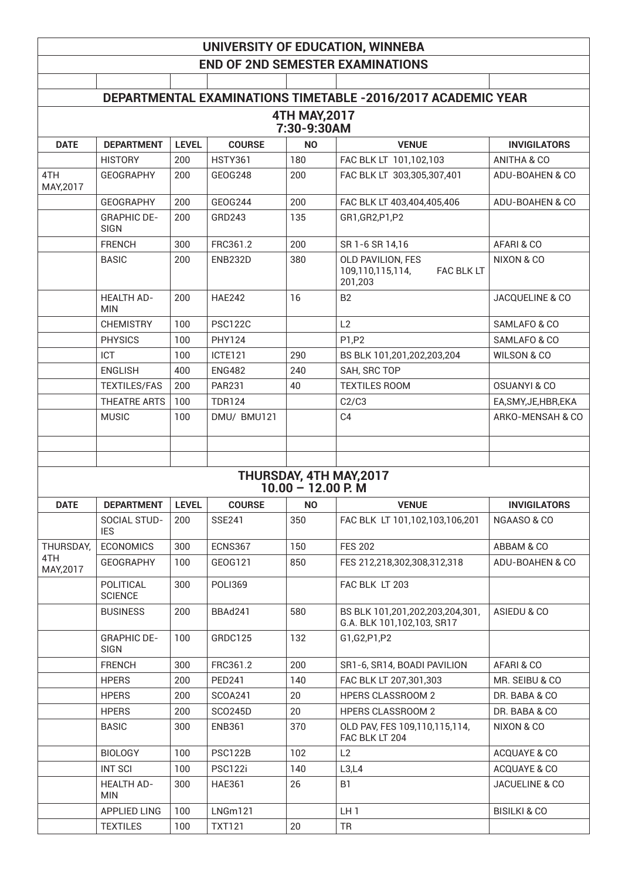## **UNIVERSITY OF EDUCATION, WINNEBA END OF 2ND SEMESTER EXAMINATIONS**

|                              |                                   |              |                |                      | DEPARTMENTAL EXAMINATIONS TIMETABLE -2016/2017 ACADEMIC YEAR   |                            |  |  |
|------------------------------|-----------------------------------|--------------|----------------|----------------------|----------------------------------------------------------------|----------------------------|--|--|
| 4TH MAY, 2017<br>7:30-9:30AM |                                   |              |                |                      |                                                                |                            |  |  |
| <b>DATE</b>                  | <b>DEPARTMENT</b>                 | <b>LEVEL</b> | <b>COURSE</b>  | <b>NO</b>            | <b>VENUE</b>                                                   | <b>INVIGILATORS</b>        |  |  |
|                              | <b>HISTORY</b>                    | 200          | <b>HSTY361</b> | 180                  | FAC BLK LT 101,102,103                                         | ANITHA & CO                |  |  |
| 4TH                          | <b>GEOGRAPHY</b>                  | 200          | GEOG248        | 200                  | FAC BLK LT 303,305,307,401                                     | ADU-BOAHEN & CO            |  |  |
| MAY, 2017                    |                                   |              |                |                      |                                                                |                            |  |  |
|                              | <b>GEOGRAPHY</b>                  | 200          | GEOG244        | 200                  | FAC BLK LT 403,404,405,406                                     | ADU-BOAHEN & CO            |  |  |
|                              | <b>GRAPHIC DE-</b><br><b>SIGN</b> | 200          | GRD243         | 135                  | GR1, GR2, P1, P2                                               |                            |  |  |
|                              | <b>FRENCH</b>                     | 300          | FRC361.2       | 200                  | SR 1-6 SR 14,16                                                | AFARI & CO                 |  |  |
|                              | <b>BASIC</b>                      | 200          | <b>ENB232D</b> | 380                  | OLD PAVILION, FES<br>FAC BLK LT<br>109,110,115,114,<br>201,203 | NIXON & CO                 |  |  |
|                              | <b>HEALTH AD-</b><br><b>MIN</b>   | 200          | <b>HAE242</b>  | 16                   | <b>B2</b>                                                      | <b>JACQUELINE &amp; CO</b> |  |  |
|                              | <b>CHEMISTRY</b>                  | 100          | <b>PSC122C</b> |                      | L2                                                             | SAMLAFO & CO               |  |  |
|                              | <b>PHYSICS</b>                    | 100          | <b>PHY124</b>  |                      | P1,P2                                                          | SAMLAFO & CO               |  |  |
|                              | <b>ICT</b>                        | 100          | <b>ICTE121</b> | 290                  | BS BLK 101,201,202,203,204                                     | <b>WILSON &amp; CO</b>     |  |  |
|                              | <b>ENGLISH</b>                    | 400          | <b>ENG482</b>  | 240                  | SAH, SRC TOP                                                   |                            |  |  |
|                              | <b>TEXTILES/FAS</b>               | 200          | <b>PAR231</b>  | 40                   | <b>TEXTILES ROOM</b>                                           | <b>OSUANYI &amp; CO</b>    |  |  |
|                              | <b>THEATRE ARTS</b>               | 100          | <b>TDR124</b>  |                      | C2/C3                                                          | EA, SMY, JE, HBR, EKA      |  |  |
|                              | <b>MUSIC</b>                      | 100          | DMU/ BMU121    |                      | C <sub>4</sub>                                                 | ARKO-MENSAH & CO           |  |  |
|                              |                                   |              |                |                      |                                                                |                            |  |  |
|                              |                                   |              |                |                      |                                                                |                            |  |  |
|                              |                                   |              |                | $10.00 - 12.00$ P. M | THURSDAY, 4TH MAY, 2017                                        |                            |  |  |
| <b>DATE</b>                  | <b>DEPARTMENT</b>                 | <b>LEVEL</b> | <b>COURSE</b>  | <b>NO</b>            | <b>VENUE</b>                                                   | <b>INVIGILATORS</b>        |  |  |
|                              | SOCIAL STUD-                      | 200          | <b>SSE241</b>  | 350                  | FAC BLK LT 101,102,103,106,201                                 | NGAASO & CO                |  |  |
|                              | <b>IES</b>                        |              |                |                      |                                                                |                            |  |  |
| THURSDAY,                    | <b>ECONOMICS</b>                  | 300          | ECNS367        | 150                  | <b>FES 202</b>                                                 | ABBAM & CO                 |  |  |
| 4TH<br>MAY, 2017             | <b>GEOGRAPHY</b>                  | 100          | GEOG121        | 850                  | FES 212,218,302,308,312,318                                    | ADU-BOAHEN & CO            |  |  |
|                              | POLITICAL<br><b>SCIENCE</b>       | 300          | <b>POLI369</b> |                      | FAC BLK LT 203                                                 |                            |  |  |
|                              | <b>BUSINESS</b>                   | 200          | BBAd241        | 580                  | BS BLK 101,201,202,203,204,301,<br>G.A. BLK 101,102,103, SR17  | ASIEDU & CO                |  |  |
|                              | <b>GRAPHIC DE-</b><br><b>SIGN</b> | 100          | GRDC125        | 132                  | G1,G2,P1,P2                                                    |                            |  |  |
|                              | <b>FRENCH</b>                     | 300          | FRC361.2       | 200                  | SR1-6, SR14, BOADI PAVILION                                    | AFARI & CO                 |  |  |
|                              | <b>HPERS</b>                      | 200          | <b>PED241</b>  | 140                  | FAC BLK LT 207,301,303                                         | MR. SEIBU & CO             |  |  |
|                              | <b>HPERS</b>                      | 200          | <b>SCOA241</b> | 20                   | <b>HPERS CLASSROOM 2</b>                                       | DR. BABA & CO              |  |  |
|                              | <b>HPERS</b>                      | 200          | SCO245D        | 20                   | <b>HPERS CLASSROOM 2</b>                                       | DR. BABA & CO              |  |  |
|                              | <b>BASIC</b>                      | 300          | <b>ENB361</b>  | 370                  | OLD PAV, FES 109,110,115,114,<br>FAC BLK LT 204                | NIXON & CO                 |  |  |
|                              | <b>BIOLOGY</b>                    | 100          | <b>PSC122B</b> | 102                  | L2                                                             | ACQUAYE & CO               |  |  |
|                              | <b>INT SCI</b>                    | 100          | PSC122i        | 140                  | L3,L4                                                          | ACQUAYE & CO               |  |  |
|                              | <b>HEALTH AD-</b><br><b>MIN</b>   | 300          | <b>HAE361</b>  | 26                   | B <sub>1</sub>                                                 | JACUELINE & CO             |  |  |
|                              | APPLIED LING                      | 100          | LNGm121        |                      | LH <sub>1</sub>                                                | <b>BISILKI &amp; CO</b>    |  |  |
|                              | <b>TEXTILES</b>                   | 100          | <b>TXT121</b>  | 20                   | <b>TR</b>                                                      |                            |  |  |
|                              |                                   |              |                |                      |                                                                |                            |  |  |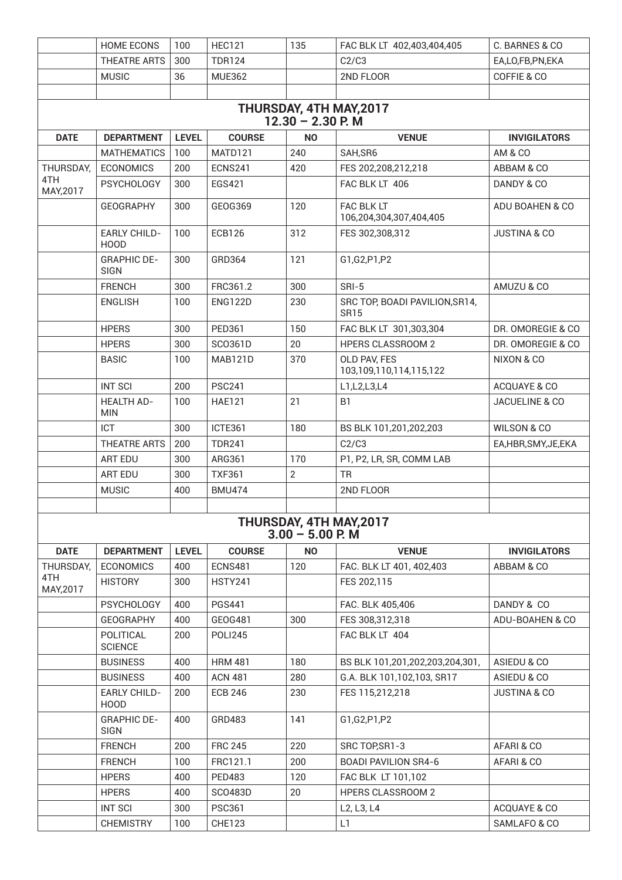|                         | <b>HOME ECONS</b>                  | 100          | <b>HEC121</b>  | 135                | FAC BLK LT 402,403,404,405                    | C. BARNES & CO          |  |  |  |
|-------------------------|------------------------------------|--------------|----------------|--------------------|-----------------------------------------------|-------------------------|--|--|--|
|                         | THEATRE ARTS                       | 300          | <b>TDR124</b>  |                    | C2/C3                                         | EA,LO,FB,PN,EKA         |  |  |  |
|                         | <b>MUSIC</b>                       | 36           | <b>MUE362</b>  |                    | 2ND FLOOR                                     | COFFIE & CO             |  |  |  |
|                         |                                    |              |                |                    |                                               |                         |  |  |  |
| THURSDAY, 4TH MAY, 2017 |                                    |              |                |                    |                                               |                         |  |  |  |
| $12.30 - 2.30$ P. M     |                                    |              |                |                    |                                               |                         |  |  |  |
| <b>DATE</b>             | <b>DEPARTMENT</b>                  | <b>LEVEL</b> | <b>COURSE</b>  | <b>NO</b>          | <b>VENUE</b>                                  | <b>INVIGILATORS</b>     |  |  |  |
|                         | <b>MATHEMATICS</b>                 | 100          | MATD121        | 240                | SAH, SR6                                      | AM & CO                 |  |  |  |
| THURSDAY,               | <b>ECONOMICS</b>                   | 200          | <b>ECNS241</b> | 420                | FES 202,208,212,218                           | ABBAM & CO              |  |  |  |
| 4TH<br>MAY, 2017        | <b>PSYCHOLOGY</b>                  | 300          | EGS421         |                    | FAC BLK LT 406                                | DANDY & CO              |  |  |  |
|                         | <b>GEOGRAPHY</b>                   | 300          | GEOG369        | 120                | FAC BLK LT<br>106,204,304,307,404,405         | ADU BOAHEN & CO         |  |  |  |
|                         | <b>EARLY CHILD-</b><br><b>HOOD</b> | 100          | <b>ECB126</b>  | 312                | FES 302,308,312                               | <b>JUSTINA &amp; CO</b> |  |  |  |
|                         | <b>GRAPHIC DE-</b><br><b>SIGN</b>  | 300          | GRD364         | 121                | G1, G2, P1, P2                                |                         |  |  |  |
|                         | <b>FRENCH</b>                      | 300          | FRC361.2       | 300                | SRI-5                                         | AMUZU & CO              |  |  |  |
|                         | <b>ENGLISH</b>                     | 100          | <b>ENG122D</b> | 230                | SRC TOP, BOADI PAVILION, SR14,<br><b>SR15</b> |                         |  |  |  |
|                         | <b>HPERS</b>                       | 300          | <b>PED361</b>  | 150                | FAC BLK LT 301,303,304                        | DR. OMOREGIE & CO.      |  |  |  |
|                         | <b>HPERS</b>                       | 300          | SC0361D        | 20                 | <b>HPERS CLASSROOM 2</b>                      | DR. OMOREGIE & CO       |  |  |  |
|                         | <b>BASIC</b>                       | 100          | MAB121D        | 370                | OLD PAV, FES<br>103,109,110,114,115,122       | NIXON & CO              |  |  |  |
|                         | <b>INT SCI</b>                     | 200          | <b>PSC241</b>  |                    | L1,L2,L3,L4                                   | ACQUAYE & CO            |  |  |  |
|                         | <b>HEALTH AD-</b><br><b>MIN</b>    | 100          | <b>HAE121</b>  | 21                 | B <sub>1</sub>                                | JACUELINE & CO          |  |  |  |
|                         | <b>ICT</b>                         | 300          | ICTE361        | 180                | BS BLK 101,201,202,203                        | <b>WILSON &amp; CO</b>  |  |  |  |
|                         | THEATRE ARTS                       | 200          | <b>TDR241</b>  |                    | C2/C3                                         | EA,HBR,SMY,JE,EKA       |  |  |  |
|                         | <b>ART EDU</b>                     | 300          | ARG361         | 170                | P1, P2, LR, SR, COMM LAB                      |                         |  |  |  |
|                         | ART EDU                            | 300          | <b>TXF361</b>  | $\overline{2}$     | <b>TR</b>                                     |                         |  |  |  |
|                         | <b>MUSIC</b>                       | 400          | <b>BMU474</b>  |                    | 2ND FLOOR                                     |                         |  |  |  |
|                         |                                    |              |                |                    |                                               |                         |  |  |  |
|                         |                                    |              |                | $3.00 - 5.00$ P. M | THURSDAY, 4TH MAY, 2017                       |                         |  |  |  |
| <b>DATE</b>             | <b>DEPARTMENT</b>                  | <b>LEVEL</b> | <b>COURSE</b>  | <b>NO</b>          | <b>VENUE</b>                                  | <b>INVIGILATORS</b>     |  |  |  |
| THURSDAY,               | <b>ECONOMICS</b>                   | 400          | <b>ECNS481</b> | 120                | FAC. BLK LT 401, 402,403                      | ABBAM & CO              |  |  |  |
| 4TH<br>MAY, 2017        | <b>HISTORY</b>                     | 300          | <b>HSTY241</b> |                    | FES 202,115                                   |                         |  |  |  |
|                         | <b>PSYCHOLOGY</b>                  | 400          | <b>PGS441</b>  |                    | FAC. BLK 405,406                              | DANDY & CO              |  |  |  |
|                         | <b>GEOGRAPHY</b>                   | 400          | GEOG481        | 300                | FES 308,312,318                               | ADU-BOAHEN & CO         |  |  |  |
|                         | POLITICAL<br><b>SCIENCE</b>        | 200          | <b>POLI245</b> |                    | FAC BLK LT 404                                |                         |  |  |  |
|                         | <b>BUSINESS</b>                    | 400          | <b>HRM 481</b> | 180                | BS BLK 101,201,202,203,204,301,               | ASIEDU & CO             |  |  |  |
|                         | <b>BUSINESS</b>                    | 400          | <b>ACN 481</b> | 280                | G.A. BLK 101,102,103, SR17                    | ASIEDU & CO             |  |  |  |
|                         | <b>EARLY CHILD-</b><br>HOOD        | 200          | <b>ECB 246</b> | 230                | FES 115,212,218                               | <b>JUSTINA &amp; CO</b> |  |  |  |
|                         | <b>GRAPHIC DE-</b><br><b>SIGN</b>  | 400          | GRD483         | 141                | G1, G2, P1, P2                                |                         |  |  |  |
|                         | <b>FRENCH</b>                      | 200          | <b>FRC 245</b> | 220                | SRC TOP, SR1-3                                | AFARI & CO              |  |  |  |
|                         | <b>FRENCH</b>                      | 100          | FRC121.1       | 200                | <b>BOADI PAVILION SR4-6</b>                   | AFARI & CO              |  |  |  |
|                         | <b>HPERS</b>                       | 400          | <b>PED483</b>  | 120                | FAC BLK LT 101,102                            |                         |  |  |  |
|                         | <b>HPERS</b>                       | 400          | <b>SCO483D</b> | 20                 | <b>HPERS CLASSROOM 2</b>                      |                         |  |  |  |
|                         | <b>INT SCI</b>                     | 300          | <b>PSC361</b>  |                    | L2, L3, L4                                    | ACQUAYE & CO            |  |  |  |
|                         | <b>CHEMISTRY</b>                   | 100          | <b>CHE123</b>  |                    | L1                                            | SAMLAFO & CO            |  |  |  |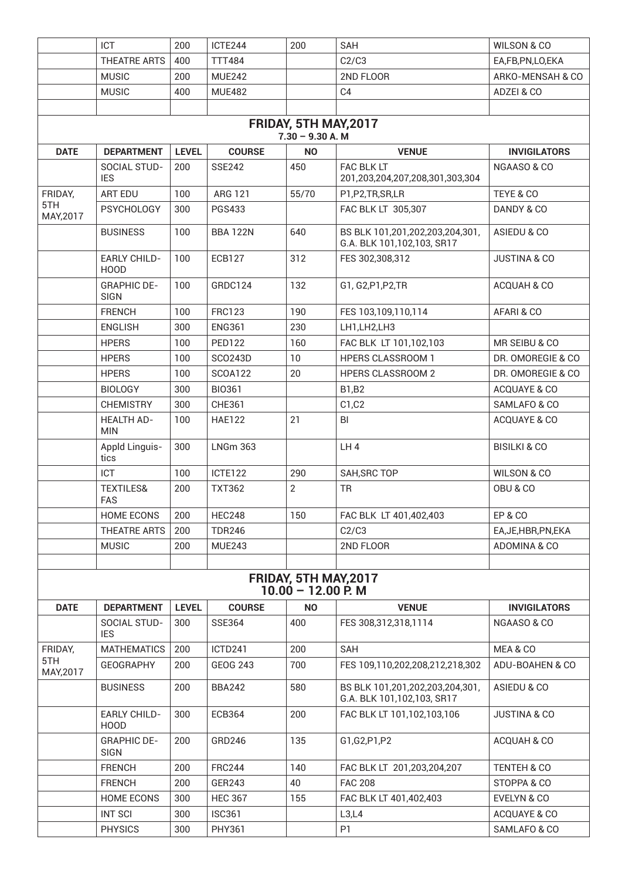|                                             | ICT                                | 200          | ICTE244         | 200                                           | SAH                                                           | <b>WILSON &amp; CO</b>  |  |  |
|---------------------------------------------|------------------------------------|--------------|-----------------|-----------------------------------------------|---------------------------------------------------------------|-------------------------|--|--|
|                                             | THEATRE ARTS                       | 400          | <b>TTT484</b>   |                                               | C2/C3                                                         | EA,FB,PN,LO,EKA         |  |  |
|                                             | <b>MUSIC</b>                       | 200          | <b>MUE242</b>   |                                               | 2ND FLOOR                                                     | ARKO-MENSAH & CO        |  |  |
|                                             | <b>MUSIC</b>                       | 400          | <b>MUE482</b>   |                                               | C <sub>4</sub>                                                | ADZEI & CO              |  |  |
|                                             |                                    |              |                 |                                               |                                                               |                         |  |  |
| FRIDAY, 5TH MAY, 2017<br>$7.30 - 9.30 A. M$ |                                    |              |                 |                                               |                                                               |                         |  |  |
| <b>DATE</b>                                 | <b>DEPARTMENT</b>                  | <b>LEVEL</b> | <b>COURSE</b>   | <b>NO</b>                                     | <b>VENUE</b>                                                  | <b>INVIGILATORS</b>     |  |  |
|                                             | SOCIAL STUD-<br><b>IES</b>         | 200          | <b>SSE242</b>   | 450                                           | FAC BLK LT<br>201,203,204,207,208,301,303,304                 | NGAASO & CO             |  |  |
| FRIDAY,                                     | ART EDU                            | 100          | ARG 121         | 55/70                                         | P1,P2,TR,SR,LR                                                | TEYE & CO               |  |  |
| 5TH<br>MAY, 2017                            | <b>PSYCHOLOGY</b>                  | 300          | <b>PGS433</b>   |                                               | FAC BLK LT 305,307                                            | DANDY & CO              |  |  |
|                                             | <b>BUSINESS</b>                    | 100          | <b>BBA 122N</b> | 640                                           | BS BLK 101,201,202,203,204,301,<br>G.A. BLK 101,102,103, SR17 | ASIEDU & CO             |  |  |
|                                             | <b>EARLY CHILD-</b><br><b>HOOD</b> | 100          | <b>ECB127</b>   | 312                                           | FES 302,308,312                                               | <b>JUSTINA &amp; CO</b> |  |  |
|                                             | <b>GRAPHIC DE-</b><br><b>SIGN</b>  | 100          | GRDC124         | 132                                           | G1, G2, P1, P2, TR                                            | ACQUAH & CO             |  |  |
|                                             | <b>FRENCH</b>                      | 100          | <b>FRC123</b>   | 190                                           | FES 103,109,110,114                                           | AFARI & CO              |  |  |
|                                             | <b>ENGLISH</b>                     | 300          | <b>ENG361</b>   | 230                                           | LH1, LH2, LH3                                                 |                         |  |  |
|                                             | <b>HPERS</b>                       | 100          | <b>PED122</b>   | 160                                           | FAC BLK LT 101,102,103                                        | MR SEIBU & CO           |  |  |
|                                             | <b>HPERS</b>                       | 100          | SCO243D         | 10                                            | <b>HPERS CLASSROOM 1</b>                                      | DR. OMOREGIE & CO       |  |  |
|                                             | <b>HPERS</b>                       | 100          | <b>SCOA122</b>  | 20                                            | <b>HPERS CLASSROOM 2</b>                                      | DR. OMOREGIE & CO       |  |  |
|                                             | <b>BIOLOGY</b>                     | 300          | <b>BIO361</b>   |                                               | <b>B1,B2</b>                                                  | ACQUAYE & CO            |  |  |
|                                             | <b>CHEMISTRY</b>                   | 300          | <b>CHE361</b>   |                                               | C1, C2                                                        | SAMLAFO & CO            |  |  |
|                                             | <b>HEALTH AD-</b><br><b>MIN</b>    | 100          | <b>HAE122</b>   | 21                                            | BI                                                            | ACQUAYE & CO            |  |  |
|                                             | Appld Linguis-<br>tics             | 300          | <b>LNGm 363</b> |                                               | LH4                                                           | <b>BISILKI &amp; CO</b> |  |  |
|                                             | <b>ICT</b>                         | 100          | ICTE122         | 290                                           | SAH, SRC TOP                                                  | <b>WILSON &amp; CO</b>  |  |  |
|                                             | <b>TEXTILES&amp;</b><br><b>FAS</b> | 200          | <b>TXT362</b>   | $\overline{2}$                                | <b>TR</b>                                                     | OBU & CO                |  |  |
|                                             | <b>HOME ECONS</b>                  | 200          | <b>HEC248</b>   | 150                                           | FAC BLK LT 401,402,403                                        | <b>EP &amp; CO</b>      |  |  |
|                                             | THEATRE ARTS                       | 200          | <b>TDR246</b>   |                                               | C2/C3                                                         | EA, JE, HBR, PN, EKA    |  |  |
|                                             | <b>MUSIC</b>                       | 200          | <b>MUE243</b>   |                                               | 2ND FLOOR                                                     | ADOMINA & CO            |  |  |
|                                             |                                    |              |                 |                                               |                                                               |                         |  |  |
|                                             |                                    |              |                 | FRIDAY, 5TH MAY, 2017<br>$10.00 - 12.00$ P. M |                                                               |                         |  |  |
| <b>DATE</b>                                 | <b>DEPARTMENT</b>                  | <b>LEVEL</b> | <b>COURSE</b>   | <b>NO</b>                                     | <b>VENUE</b>                                                  | <b>INVIGILATORS</b>     |  |  |
|                                             | SOCIAL STUD-<br><b>IES</b>         | 300          | <b>SSE364</b>   | 400                                           | FES 308,312,318,1114                                          | NGAASO & CO             |  |  |
| FRIDAY,                                     | <b>MATHEMATICS</b>                 | 200          | ICTD241         | 200                                           | SAH                                                           | MEA & CO                |  |  |
| 5TH<br>MAY, 2017                            | <b>GEOGRAPHY</b>                   | 200          | <b>GEOG 243</b> | 700                                           | FES 109,110,202,208,212,218,302                               | ADU-BOAHEN & CO         |  |  |
|                                             | <b>BUSINESS</b>                    | 200          | <b>BBA242</b>   | 580                                           | BS BLK 101,201,202,203,204,301,<br>G.A. BLK 101,102,103, SR17 | ASIEDU & CO             |  |  |
|                                             | <b>EARLY CHILD-</b><br><b>HOOD</b> | 300          | <b>ECB364</b>   | 200                                           | FAC BLK LT 101,102,103,106                                    | <b>JUSTINA &amp; CO</b> |  |  |
|                                             | <b>GRAPHIC DE-</b><br><b>SIGN</b>  | 200          | GRD246          | 135                                           | G1,G2,P1,P2                                                   | ACQUAH & CO             |  |  |
|                                             | <b>FRENCH</b>                      | 200          | <b>FRC244</b>   | 140                                           | FAC BLK LT 201,203,204,207                                    | TENTEH & CO             |  |  |
|                                             | <b>FRENCH</b>                      | 200          | GER243          | 40                                            | <b>FAC 208</b>                                                | STOPPA & CO             |  |  |
|                                             | <b>HOME ECONS</b>                  | 300          | <b>HEC 367</b>  | 155                                           | FAC BLK LT 401,402,403                                        | EVELYN & CO             |  |  |
|                                             | <b>INT SCI</b>                     | 300          | <b>ISC361</b>   |                                               | L3,L4                                                         | ACQUAYE & CO            |  |  |
|                                             | <b>PHYSICS</b>                     | 300          | <b>PHY361</b>   |                                               | P <sub>1</sub>                                                | SAMLAFO & CO            |  |  |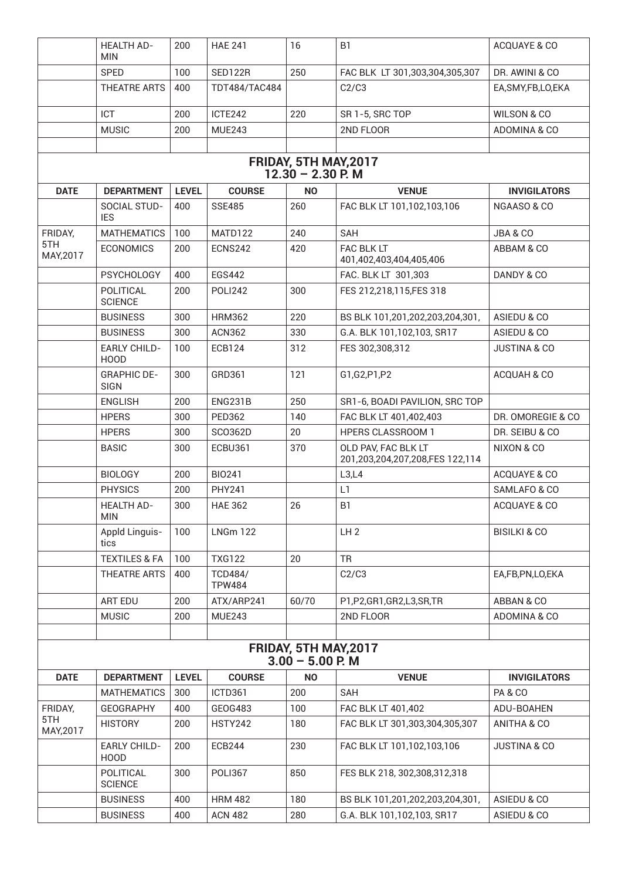|                                              | <b>HEALTH AD-</b><br><b>MIN</b>    | 200          | <b>HAE 241</b>                  | 16                                          | B <sub>1</sub>                                         | ACQUAYE & CO            |  |  |  |
|----------------------------------------------|------------------------------------|--------------|---------------------------------|---------------------------------------------|--------------------------------------------------------|-------------------------|--|--|--|
|                                              | <b>SPED</b>                        | 100          | SED122R                         | 250                                         | FAC BLK LT 301,303,304,305,307                         | DR. AWINI & CO          |  |  |  |
|                                              | THEATRE ARTS                       | 400          | <b>TDT484/TAC484</b>            |                                             | C2/C3                                                  | EA, SMY, FB, LO, EKA    |  |  |  |
|                                              | ICT                                | 200          | ICTE242                         | 220                                         | SR 1-5, SRC TOP                                        | WILSON & CO             |  |  |  |
|                                              | <b>MUSIC</b>                       | 200          | <b>MUE243</b>                   |                                             | 2ND FLOOR                                              | ADOMINA & CO            |  |  |  |
|                                              |                                    |              |                                 |                                             |                                                        |                         |  |  |  |
| FRIDAY, 5TH MAY, 2017<br>$12.30 - 2.30$ P. M |                                    |              |                                 |                                             |                                                        |                         |  |  |  |
| <b>DATE</b>                                  | <b>DEPARTMENT</b>                  | <b>LEVEL</b> | <b>COURSE</b>                   | <b>NO</b>                                   | <b>VENUE</b>                                           | <b>INVIGILATORS</b>     |  |  |  |
|                                              | SOCIAL STUD-                       | 400          | <b>SSE485</b>                   | 260                                         | FAC BLK LT 101,102,103,106                             | NGAASO & CO             |  |  |  |
|                                              | <b>IES</b>                         |              |                                 |                                             |                                                        |                         |  |  |  |
| FRIDAY,                                      | <b>MATHEMATICS</b>                 | 100          | MATD122                         | 240                                         | <b>SAH</b>                                             | JBA & CO                |  |  |  |
| 5TH<br>MAY, 2017                             | <b>ECONOMICS</b>                   | 200          | ECNS242                         | 420                                         | <b>FAC BLK LT</b><br>401,402,403,404,405,406           | ABBAM & CO              |  |  |  |
|                                              | <b>PSYCHOLOGY</b>                  | 400          | <b>EGS442</b>                   |                                             | FAC. BLK LT 301,303                                    | DANDY & CO              |  |  |  |
|                                              | POLITICAL<br><b>SCIENCE</b>        | 200          | POLI242                         | 300                                         | FES 212,218,115,FES 318                                |                         |  |  |  |
|                                              | <b>BUSINESS</b>                    | 300          | <b>HRM362</b>                   | 220                                         | BS BLK 101,201,202,203,204,301,                        | ASIEDU & CO             |  |  |  |
|                                              | <b>BUSINESS</b>                    | 300          | <b>ACN362</b>                   | 330                                         | G.A. BLK 101,102,103, SR17                             | ASIEDU & CO             |  |  |  |
|                                              | <b>EARLY CHILD-</b><br><b>HOOD</b> | 100          | <b>ECB124</b>                   | 312                                         | FES 302,308,312                                        | <b>JUSTINA &amp; CO</b> |  |  |  |
|                                              | <b>GRAPHIC DE-</b><br><b>SIGN</b>  | 300          | GRD361                          | 121                                         | G1,G2,P1,P2                                            | ACQUAH & CO             |  |  |  |
|                                              | <b>ENGLISH</b>                     | 200          | ENG231B                         | 250                                         | SR1-6, BOADI PAVILION, SRC TOP                         |                         |  |  |  |
|                                              | <b>HPERS</b>                       | 300          | <b>PED362</b>                   | 140                                         | FAC BLK LT 401,402,403                                 | DR. OMOREGIE & CO       |  |  |  |
|                                              | <b>HPERS</b>                       | 300          | SC0362D                         | 20                                          | <b>HPERS CLASSROOM 1</b>                               | DR. SEIBU & CO          |  |  |  |
|                                              | <b>BASIC</b>                       | 300          | <b>ECBU361</b>                  | 370                                         | OLD PAV, FAC BLK LT<br>201,203,204,207,208,FES 122,114 | NIXON & CO              |  |  |  |
|                                              | <b>BIOLOGY</b>                     | 200          | <b>BIO241</b>                   |                                             | L3,L4                                                  | ACQUAYE & CO            |  |  |  |
|                                              | <b>PHYSICS</b>                     | 200          | <b>PHY241</b>                   |                                             | L1                                                     | SAMLAFO & CO            |  |  |  |
|                                              | <b>HEALTH AD-</b><br><b>MIN</b>    | 300          | <b>HAE 362</b>                  | 26                                          | B1                                                     | ACQUAYE & CO            |  |  |  |
|                                              | Appld Linguis-<br>tics             | 100          | <b>LNGm 122</b>                 |                                             | LH2                                                    | <b>BISILKI &amp; CO</b> |  |  |  |
|                                              | <b>TEXTILES &amp; FA</b>           | 100          | <b>TXG122</b>                   | 20                                          | <b>TR</b>                                              |                         |  |  |  |
|                                              | THEATRE ARTS                       | 400          | <b>TCD484/</b><br><b>TPW484</b> |                                             | C2/C3                                                  | EA,FB,PN,LO,EKA         |  |  |  |
|                                              | <b>ART EDU</b>                     | 200          | ATX/ARP241                      | 60/70                                       | P1,P2,GR1,GR2,L3,SR,TR                                 | ABBAN & CO              |  |  |  |
|                                              | <b>MUSIC</b>                       | 200          | <b>MUE243</b>                   |                                             | 2ND FLOOR                                              | ADOMINA & CO            |  |  |  |
|                                              |                                    |              |                                 |                                             |                                                        |                         |  |  |  |
|                                              |                                    |              |                                 | FRIDAY, 5TH MAY, 2017<br>$3.00 - 5.00$ P. M |                                                        |                         |  |  |  |
| <b>DATE</b>                                  | <b>DEPARTMENT</b>                  | <b>LEVEL</b> | <b>COURSE</b>                   | <b>NO</b>                                   | <b>VENUE</b>                                           | <b>INVIGILATORS</b>     |  |  |  |
|                                              | <b>MATHEMATICS</b>                 | 300          | ICTD361                         | 200                                         | <b>SAH</b>                                             | PA & CO                 |  |  |  |
| FRIDAY,                                      | <b>GEOGRAPHY</b>                   | 400          | GEOG483                         | 100                                         | FAC BLK LT 401,402                                     | ADU-BOAHEN              |  |  |  |
| 5TH<br>MAY, 2017                             | <b>HISTORY</b>                     | 200          | <b>HSTY242</b>                  | 180                                         | FAC BLK LT 301,303,304,305,307                         | <b>ANITHA &amp; CO</b>  |  |  |  |
|                                              | <b>EARLY CHILD-</b><br>HOOD        | 200          | <b>ECB244</b>                   | 230                                         | FAC BLK LT 101,102,103,106                             | <b>JUSTINA &amp; CO</b> |  |  |  |
|                                              | POLITICAL<br><b>SCIENCE</b>        | 300          | <b>POLI367</b>                  | 850                                         | FES BLK 218, 302, 308, 312, 318                        |                         |  |  |  |
|                                              | <b>BUSINESS</b>                    | 400          | <b>HRM 482</b>                  | 180                                         | BS BLK 101,201,202,203,204,301,                        | ASIEDU & CO             |  |  |  |
|                                              | <b>BUSINESS</b>                    | 400          | <b>ACN 482</b>                  | 280                                         | G.A. BLK 101,102,103, SR17                             | ASIEDU & CO             |  |  |  |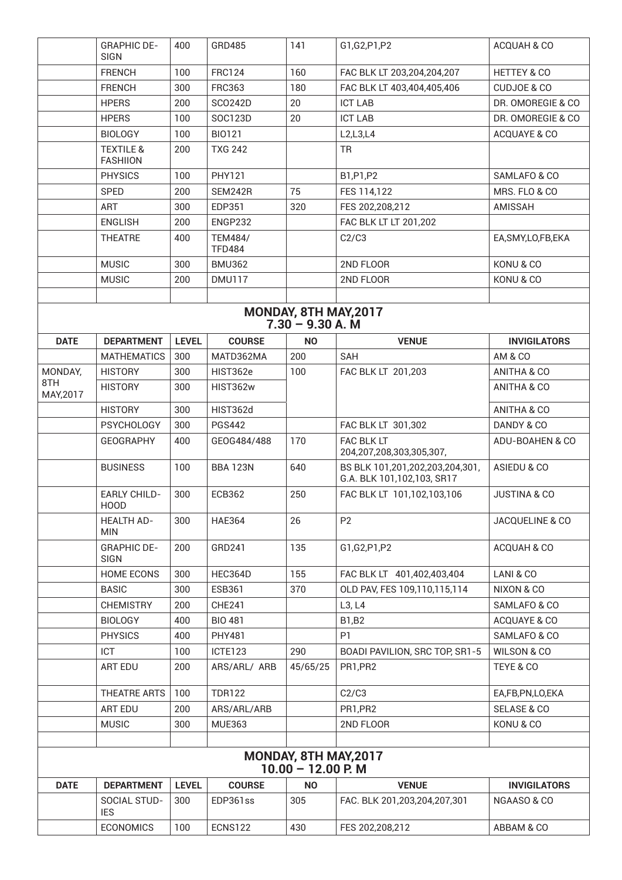|                  | <b>GRAPHIC DE-</b><br><b>SIGN</b>       | 400          | GRD485                          | 141                                           | G1,G2,P1,P2                                                   | ACQUAH & CO             |
|------------------|-----------------------------------------|--------------|---------------------------------|-----------------------------------------------|---------------------------------------------------------------|-------------------------|
|                  | <b>FRENCH</b>                           | 100          | <b>FRC124</b>                   | 160                                           | FAC BLK LT 203,204,204,207                                    | <b>HETTEY &amp; CO</b>  |
|                  | <b>FRENCH</b>                           | 300          | <b>FRC363</b>                   | 180                                           | FAC BLK LT 403,404,405,406                                    | <b>CUDJOE &amp; CO</b>  |
|                  | <b>HPERS</b>                            | 200          | <b>SCO242D</b>                  | 20                                            | <b>ICT LAB</b>                                                | DR. OMOREGIE & CO       |
|                  | <b>HPERS</b>                            | 100          | SOC123D                         | 20                                            | <b>ICT LAB</b>                                                | DR. OMOREGIE & CO       |
|                  | <b>BIOLOGY</b>                          | 100          | <b>BIO121</b>                   |                                               | L2,L3,L4                                                      | ACQUAYE & CO            |
|                  | <b>TEXTILE &amp;</b><br><b>FASHIION</b> | 200          | <b>TXG 242</b>                  |                                               | <b>TR</b>                                                     |                         |
|                  | <b>PHYSICS</b>                          | 100          | <b>PHY121</b>                   |                                               | B1,P1,P2                                                      | SAMLAFO & CO            |
|                  | <b>SPED</b>                             | 200          | <b>SEM242R</b>                  | 75                                            | FES 114,122                                                   | MRS. FLO & CO           |
|                  | <b>ART</b>                              | 300          | EDP351                          | 320                                           | FES 202,208,212                                               | <b>AMISSAH</b>          |
|                  | <b>ENGLISH</b>                          | 200          | ENGP232                         |                                               | FAC BLK LT LT 201,202                                         |                         |
|                  | <b>THEATRE</b>                          | 400          | <b>TEM484/</b><br><b>TFD484</b> |                                               | C2/C3                                                         | EA, SMY, LO, FB, EKA    |
|                  | <b>MUSIC</b>                            | 300          | <b>BMU362</b>                   |                                               | 2ND FLOOR                                                     | KONU & CO               |
|                  | <b>MUSIC</b>                            | 200          | <b>DMU117</b>                   |                                               | 2ND FLOOR                                                     | KONU & CO               |
|                  |                                         |              |                                 |                                               |                                                               |                         |
|                  |                                         |              |                                 | MONDAY, 8TH MAY, 2017<br>$7.30 - 9.30 A. M$   |                                                               |                         |
| <b>DATE</b>      | <b>DEPARTMENT</b>                       | <b>LEVEL</b> | <b>COURSE</b>                   | <b>NO</b>                                     | <b>VENUE</b>                                                  | <b>INVIGILATORS</b>     |
|                  | <b>MATHEMATICS</b>                      | 300          | MATD362MA                       | 200                                           | <b>SAH</b>                                                    | AM & CO                 |
| MONDAY,          | <b>HISTORY</b>                          | 300          | HIST362e                        | 100                                           | FAC BLK LT 201,203                                            | ANITHA & CO             |
| 8TH<br>MAY, 2017 | <b>HISTORY</b>                          | 300          | HIST362w                        |                                               |                                                               | ANITHA & CO             |
|                  | <b>HISTORY</b>                          | 300          | HIST362d                        |                                               |                                                               | ANITHA & CO             |
|                  | <b>PSYCHOLOGY</b>                       | 300          | <b>PGS442</b>                   |                                               | FAC BLK LT 301,302                                            | DANDY & CO              |
|                  | <b>GEOGRAPHY</b>                        | 400          | GEOG484/488                     | 170                                           | FAC BLK LT<br>204,207,208,303,305,307,                        | ADU-BOAHEN & CO         |
|                  | <b>BUSINESS</b>                         | 100          | <b>BBA 123N</b>                 | 640                                           | BS BLK 101,201,202,203,204,301,<br>G.A. BLK 101,102,103, SR17 | ASIEDU & CO             |
|                  | <b>EARLY CHILD-</b><br>HOOD             | 300          | <b>ECB362</b>                   | 250                                           | FAC BLK LT 101,102,103,106                                    | <b>JUSTINA &amp; CO</b> |
|                  | <b>HEALTH AD-</b><br><b>MIN</b>         | 300          | <b>HAE364</b>                   | 26                                            | P <sub>2</sub>                                                | JACQUELINE & CO         |
|                  | <b>GRAPHIC DE-</b><br>SIGN              | 200          | GRD241                          | 135                                           | G1,G2,P1,P2                                                   | ACQUAH & CO             |
|                  | <b>HOME ECONS</b>                       | 300          | HEC364D                         | 155                                           | FAC BLK LT 401,402,403,404                                    | LANI & CO               |
|                  | <b>BASIC</b>                            | 300          | <b>ESB361</b>                   | 370                                           | OLD PAV, FES 109,110,115,114                                  | NIXON & CO              |
|                  | <b>CHEMISTRY</b>                        | 200          | <b>CHE241</b>                   |                                               | L3, L4                                                        | SAMLAFO & CO            |
|                  | <b>BIOLOGY</b>                          | 400          | <b>BIO 481</b>                  |                                               | <b>B1,B2</b>                                                  | ACQUAYE & CO            |
|                  | <b>PHYSICS</b>                          | 400          | <b>PHY481</b>                   |                                               | P <sub>1</sub>                                                | SAMLAFO & CO            |
|                  | <b>ICT</b>                              | 100          | ICTE123                         | 290                                           | BOADI PAVILION, SRC TOP, SR1-5                                | WILSON & CO             |
|                  | ART EDU                                 | 200          | ARS/ARL/ ARB                    | 45/65/25                                      | PR1,PR2                                                       | TEYE & CO               |
|                  | THEATRE ARTS                            | 100          | <b>TDR122</b>                   |                                               | C2/C3                                                         | EA,FB,PN,LO,EKA         |
|                  | ART EDU                                 | 200          | ARS/ARL/ARB                     |                                               | PR1,PR2                                                       | SELASE & CO             |
|                  | <b>MUSIC</b>                            | 300          | <b>MUE363</b>                   |                                               | 2ND FLOOR                                                     | KONU & CO               |
|                  |                                         |              |                                 |                                               |                                                               |                         |
|                  |                                         |              |                                 | MONDAY, 8TH MAY, 2017<br>$10.00 - 12.00$ P. M |                                                               |                         |
| <b>DATE</b>      | <b>DEPARTMENT</b>                       | <b>LEVEL</b> | <b>COURSE</b>                   | <b>NO</b>                                     | <b>VENUE</b>                                                  | <b>INVIGILATORS</b>     |
|                  | SOCIAL STUD-<br><b>IES</b>              | 300          | EDP361ss                        | 305                                           | FAC. BLK 201,203,204,207,301                                  | NGAASO & CO             |
|                  | <b>ECONOMICS</b>                        | 100          | <b>ECNS122</b>                  | 430                                           | FES 202,208,212                                               | ABBAM & CO              |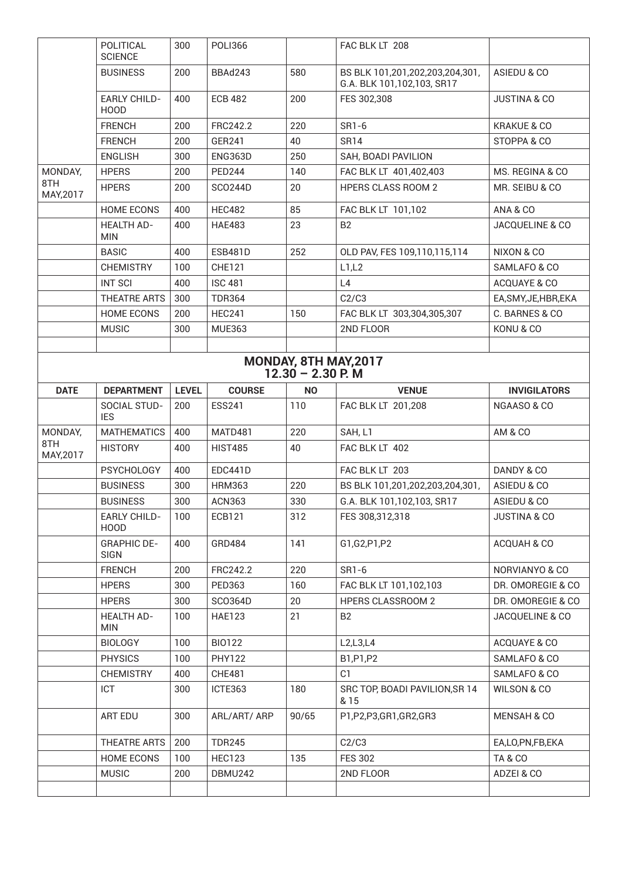|                       | POLITICAL<br><b>SCIENCE</b>        | 300          | <b>POLI366</b> |           | FAC BLK LT 208                                                |                         |  |  |
|-----------------------|------------------------------------|--------------|----------------|-----------|---------------------------------------------------------------|-------------------------|--|--|
|                       | <b>BUSINESS</b>                    | 200          | BBAd243        | 580       | BS BLK 101,201,202,203,204,301,<br>G.A. BLK 101,102,103, SR17 | ASIEDU & CO             |  |  |
|                       | <b>EARLY CHILD-</b><br><b>HOOD</b> | 400          | <b>ECB 482</b> | 200       | FES 302,308                                                   | <b>JUSTINA &amp; CO</b> |  |  |
|                       | <b>FRENCH</b>                      | 200          | FRC242.2       | 220       | SR1-6                                                         | <b>KRAKUE &amp; CO</b>  |  |  |
|                       | <b>FRENCH</b>                      | 200          | GER241         | 40        | <b>SR14</b>                                                   | STOPPA & CO             |  |  |
|                       | <b>ENGLISH</b>                     | 300          | ENG363D        | 250       | SAH, BOADI PAVILION                                           |                         |  |  |
| MONDAY,               | <b>HPERS</b>                       | 200          | <b>PED244</b>  | 140       | FAC BLK LT 401,402,403                                        | MS. REGINA & CO         |  |  |
| 8TH<br>MAY, 2017      | <b>HPERS</b>                       | 200          | <b>SCO244D</b> | 20        | <b>HPERS CLASS ROOM 2</b>                                     | MR. SEIBU & CO          |  |  |
|                       | <b>HOME ECONS</b>                  | 400          | <b>HEC482</b>  | 85        | FAC BLK LT 101,102                                            | ANA & CO                |  |  |
|                       | <b>HEALTH AD-</b><br><b>MIN</b>    | 400          | <b>HAE483</b>  | 23        | <b>B2</b>                                                     | JACQUELINE & CO         |  |  |
|                       | <b>BASIC</b>                       | 400          | <b>ESB481D</b> | 252       | OLD PAV, FES 109,110,115,114                                  | NIXON & CO              |  |  |
|                       | <b>CHEMISTRY</b>                   | 100          | <b>CHE121</b>  |           | L1,L2                                                         | SAMLAFO & CO            |  |  |
|                       | <b>INT SCI</b>                     | 400          | <b>ISC 481</b> |           | L4                                                            | ACQUAYE & CO            |  |  |
|                       | THEATRE ARTS                       | 300          | <b>TDR364</b>  |           | C2/C3                                                         | EA, SMY, JE, HBR, EKA   |  |  |
|                       | <b>HOME ECONS</b>                  | 200          | <b>HEC241</b>  | 150       | FAC BLK LT 303,304,305,307                                    | C. BARNES & CO          |  |  |
|                       | <b>MUSIC</b>                       | 300          | <b>MUE363</b>  |           | 2ND FLOOR                                                     | KONU & CO               |  |  |
|                       |                                    |              |                |           |                                                               |                         |  |  |
| MONDAY, 8TH MAY, 2017 |                                    |              |                |           |                                                               |                         |  |  |
| $12.30 - 2.30$ P. M   |                                    |              |                |           |                                                               |                         |  |  |
| <b>DATE</b>           | <b>DEPARTMENT</b>                  | <b>LEVEL</b> | <b>COURSE</b>  | <b>NO</b> | <b>VENUE</b>                                                  | <b>INVIGILATORS</b>     |  |  |
|                       | SOCIAL STUD-<br><b>IES</b>         | 200          | <b>ESS241</b>  | 110       | FAC BLK LT 201,208                                            | NGAASO & CO             |  |  |
| MONDAY,               | <b>MATHEMATICS</b>                 | 400          | MATD481        | 220       | SAH, L1                                                       | <b>AM &amp; CO</b>      |  |  |
| 8TH<br>MAY, 2017      | <b>HISTORY</b>                     | 400          | <b>HIST485</b> | 40        | FAC BLK LT 402                                                |                         |  |  |
|                       | <b>PSYCHOLOGY</b>                  | 400          | EDC441D        |           | FAC BLK LT 203                                                |                         |  |  |
|                       |                                    |              |                |           |                                                               | DANDY & CO              |  |  |
|                       | <b>BUSINESS</b>                    | 300          | <b>HRM363</b>  | 220       | BS BLK 101,201,202,203,204,301,                               | ASIEDU & CO             |  |  |
|                       | <b>BUSINESS</b>                    | 300          | <b>ACN363</b>  | 330       | G.A. BLK 101,102,103, SR17                                    | ASIEDU & CO             |  |  |
|                       | <b>EARLY CHILD-</b><br><b>HOOD</b> | 100          | ECB121         | 312       | FES 308,312,318                                               | <b>JUSTINA &amp; CO</b> |  |  |
|                       | <b>GRAPHIC DE-</b><br><b>SIGN</b>  | 400          | GRD484         | 141       | G1,G2,P1,P2                                                   | ACQUAH & CO             |  |  |
|                       | <b>FRENCH</b>                      | 200          | FRC242.2       | 220       | SR1-6                                                         | NORVIANYO & CO          |  |  |
|                       | <b>HPERS</b>                       | 300          | PED363         | 160       | FAC BLK LT 101,102,103                                        | DR. OMOREGIE & CO       |  |  |
|                       | <b>HPERS</b>                       | 300          | SC0364D        | 20        | <b>HPERS CLASSROOM 2</b>                                      | DR. OMOREGIE & CO       |  |  |
|                       | <b>HEALTH AD-</b><br><b>MIN</b>    | 100          | <b>HAE123</b>  | 21        | B <sub>2</sub>                                                | JACQUELINE & CO         |  |  |
|                       | <b>BIOLOGY</b>                     | 100          | <b>BIO122</b>  |           | L2,L3,L4                                                      | ACQUAYE & CO            |  |  |
|                       | <b>PHYSICS</b>                     | 100          | <b>PHY122</b>  |           | B1,P1,P2                                                      | SAMLAFO & CO            |  |  |
|                       | <b>CHEMISTRY</b>                   | 400          | <b>CHE481</b>  |           | C <sub>1</sub>                                                | SAMLAFO & CO            |  |  |
|                       | ICT                                | 300          | ICTE363        | 180       | SRC TOP, BOADI PAVILION, SR 14<br>& 15                        | WILSON & CO             |  |  |
|                       | ART EDU                            | 300          | ARL/ART/ ARP   | 90/65     | P1,P2,P3,GR1,GR2,GR3                                          | <b>MENSAH &amp; CO</b>  |  |  |
|                       | THEATRE ARTS                       | 200          | <b>TDR245</b>  |           | C2/C3                                                         | EA,LO,PN,FB,EKA         |  |  |
|                       | <b>HOME ECONS</b>                  | 100          | <b>HEC123</b>  | 135       | <b>FES 302</b>                                                | TA&CO                   |  |  |
|                       | <b>MUSIC</b>                       | 200          | DBMU242        |           | 2ND FLOOR                                                     | ADZEI & CO              |  |  |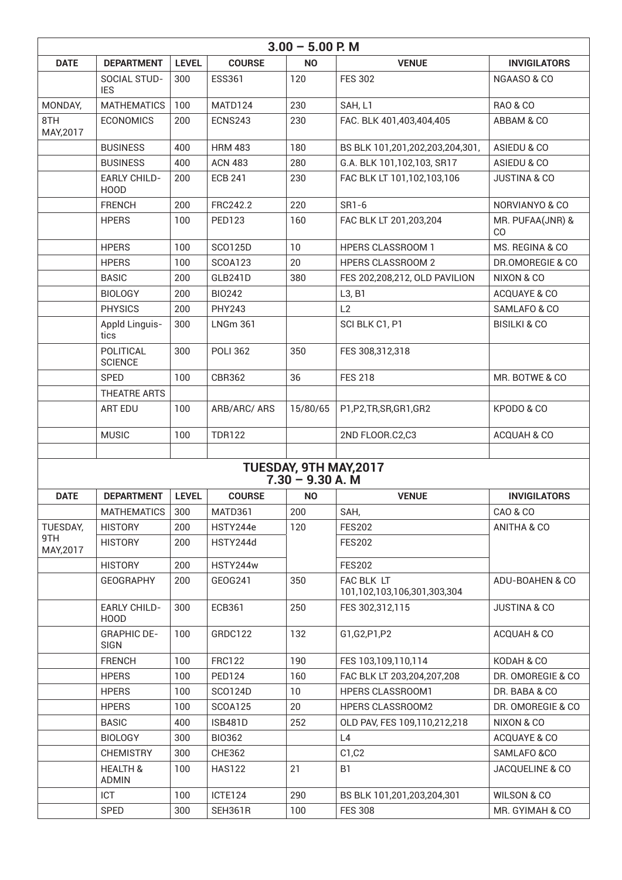| $3.00 - 5.00$ P. M |                                     |              |                 |                                                     |                                           |                         |  |
|--------------------|-------------------------------------|--------------|-----------------|-----------------------------------------------------|-------------------------------------------|-------------------------|--|
| <b>DATE</b>        | <b>DEPARTMENT</b>                   | <b>LEVEL</b> | <b>COURSE</b>   | <b>NO</b>                                           | <b>VENUE</b>                              | <b>INVIGILATORS</b>     |  |
|                    | <b>SOCIAL STUD-</b><br><b>IES</b>   | 300          | <b>ESS361</b>   | 120                                                 | <b>FES 302</b>                            | NGAASO & CO             |  |
| MONDAY,            | <b>MATHEMATICS</b>                  | 100          | MATD124         | 230                                                 | SAH, L1                                   | <b>RAO &amp; CO</b>     |  |
| 8TH<br>MAY, 2017   | <b>ECONOMICS</b>                    | 200          | <b>ECNS243</b>  | 230                                                 | FAC. BLK 401,403,404,405                  | ABBAM & CO              |  |
|                    | <b>BUSINESS</b>                     | 400          | <b>HRM 483</b>  | 180                                                 | BS BLK 101,201,202,203,204,301,           | ASIEDU & CO             |  |
|                    | <b>BUSINESS</b>                     | 400          | <b>ACN 483</b>  | 280                                                 | G.A. BLK 101,102,103, SR17                | ASIEDU & CO             |  |
|                    | <b>EARLY CHILD-</b><br><b>HOOD</b>  | 200          | <b>ECB 241</b>  | 230                                                 | FAC BLK LT 101,102,103,106                | <b>JUSTINA &amp; CO</b> |  |
|                    | <b>FRENCH</b>                       | 200          | FRC242.2        | 220                                                 | SR1-6                                     | NORVIANYO & CO          |  |
|                    | <b>HPERS</b>                        | 100          | <b>PED123</b>   | 160                                                 | FAC BLK LT 201,203,204                    | MR. PUFAA(JNR) &<br>CO  |  |
|                    | <b>HPERS</b>                        | 100          | <b>SCO125D</b>  | 10                                                  | <b>HPERS CLASSROOM 1</b>                  | MS. REGINA & CO         |  |
|                    | <b>HPERS</b>                        | 100          | <b>SCOA123</b>  | 20                                                  | <b>HPERS CLASSROOM 2</b>                  | DR.OMOREGIE & CO        |  |
|                    | <b>BASIC</b>                        | 200          | GLB241D         | 380                                                 | FES 202,208,212, OLD PAVILION             | NIXON & CO              |  |
|                    | <b>BIOLOGY</b>                      | 200          | <b>BIO242</b>   |                                                     | L3, B1                                    | ACQUAYE & CO            |  |
|                    | <b>PHYSICS</b>                      | 200          | <b>PHY243</b>   |                                                     | L2                                        | SAMLAFO & CO            |  |
|                    | Appld Linguis-<br>tics              | 300          | <b>LNGm 361</b> |                                                     | SCI BLK C1, P1                            | <b>BISILKI &amp; CO</b> |  |
|                    | POLITICAL<br><b>SCIENCE</b>         | 300          | <b>POLI 362</b> | 350                                                 | FES 308,312,318                           |                         |  |
|                    | <b>SPED</b>                         | 100          | <b>CBR362</b>   | 36                                                  | <b>FES 218</b>                            | MR. BOTWE & CO          |  |
|                    | THEATRE ARTS                        |              |                 |                                                     |                                           |                         |  |
|                    | <b>ART EDU</b>                      | 100          | ARB/ARC/ ARS    | 15/80/65                                            | P1,P2,TR,SR,GR1,GR2                       | KPODO & CO              |  |
|                    | <b>MUSIC</b>                        | 100          | <b>TDR122</b>   |                                                     | 2ND FLOOR.C2,C3                           | ACQUAH & CO             |  |
|                    |                                     |              |                 |                                                     |                                           |                         |  |
|                    |                                     |              |                 | <b>TUESDAY, 9TH MAY, 2017</b><br>$7.30 - 9.30 A. M$ |                                           |                         |  |
| <b>DATE</b>        | <b>DEPARTMENT</b>                   | <b>LEVEL</b> | <b>COURSE</b>   | <b>NO</b>                                           | <b>VENUE</b>                              | <b>INVIGILATORS</b>     |  |
|                    | <b>MATHEMATICS</b>                  | 300          | MATD361         | 200                                                 | SAH,                                      | <b>CAO &amp; CO</b>     |  |
| TUESDAY,           | <b>HISTORY</b>                      | 200          | HSTY244e        | 120                                                 | <b>FES202</b>                             | ANITHA & CO             |  |
| 9TH<br>MAY, 2017   | <b>HISTORY</b>                      | 200          | HSTY244d        |                                                     | <b>FES202</b>                             |                         |  |
|                    | <b>HISTORY</b>                      | 200          | HSTY244w        |                                                     | <b>FES202</b>                             |                         |  |
|                    | <b>GEOGRAPHY</b>                    | 200          | GEOG241         | 350                                                 | FAC BLK LT<br>101,102,103,106,301,303,304 | ADU-BOAHEN & CO         |  |
|                    | <b>EARLY CHILD-</b><br><b>HOOD</b>  | 300          | <b>ECB361</b>   | 250                                                 | FES 302,312,115                           | <b>JUSTINA &amp; CO</b> |  |
|                    | <b>GRAPHIC DE-</b><br><b>SIGN</b>   | 100          | GRDC122         | 132                                                 | G1,G2,P1,P2                               | ACQUAH & CO             |  |
|                    | <b>FRENCH</b>                       | 100          | <b>FRC122</b>   | 190                                                 | FES 103,109,110,114                       | KODAH & CO              |  |
|                    | <b>HPERS</b>                        | 100          | <b>PED124</b>   | 160                                                 | FAC BLK LT 203,204,207,208                | DR. OMOREGIE & CO       |  |
|                    | <b>HPERS</b>                        | 100          | SC0124D         | 10                                                  | HPERS CLASSROOM1                          | DR. BABA & CO           |  |
|                    | <b>HPERS</b>                        | 100          | <b>SCOA125</b>  | 20                                                  | HPERS CLASSROOM2                          | DR. OMOREGIE & CO       |  |
|                    | <b>BASIC</b>                        | 400          | <b>ISB481D</b>  | 252                                                 | OLD PAV, FES 109,110,212,218              | NIXON & CO              |  |
|                    | <b>BIOLOGY</b>                      | 300          | <b>BIO362</b>   |                                                     | L4                                        | ACQUAYE & CO            |  |
|                    | <b>CHEMISTRY</b>                    | 300          | <b>CHE362</b>   |                                                     | C1, C2                                    | SAMLAFO &CO             |  |
|                    | <b>HEALTH &amp;</b><br><b>ADMIN</b> | 100          | <b>HAS122</b>   | 21                                                  | B <sub>1</sub>                            | JACQUELINE & CO         |  |
|                    | ICT                                 | 100          | ICTE124         | 290                                                 | BS BLK 101,201,203,204,301                | <b>WILSON &amp; CO</b>  |  |
|                    | SPED                                | 300          | SEH361R         | 100                                                 | <b>FES 308</b>                            | MR. GYIMAH & CO         |  |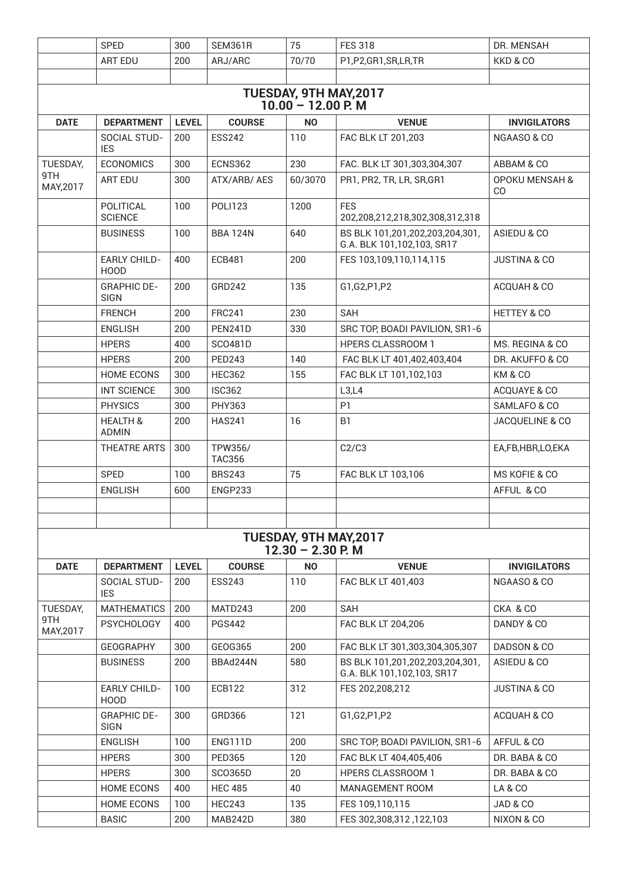|                                                       | SPED                                | 300          | <b>SEM361R</b>           | 75                                                   | <b>FES 318</b>                                                | DR. MENSAH                      |  |  |  |
|-------------------------------------------------------|-------------------------------------|--------------|--------------------------|------------------------------------------------------|---------------------------------------------------------------|---------------------------------|--|--|--|
|                                                       | <b>ART EDU</b>                      | 200          | ARJ/ARC                  | 70/70                                                | P1,P2,GR1,SR,LR,TR                                            | KKD & CO                        |  |  |  |
|                                                       |                                     |              |                          |                                                      |                                                               |                                 |  |  |  |
| <b>TUESDAY, 9TH MAY, 2017</b><br>$10.00 - 12.00$ P. M |                                     |              |                          |                                                      |                                                               |                                 |  |  |  |
| <b>DATE</b>                                           | <b>DEPARTMENT</b>                   | <b>LEVEL</b> | <b>COURSE</b>            | <b>NO</b>                                            | <b>VENUE</b>                                                  | <b>INVIGILATORS</b>             |  |  |  |
|                                                       | SOCIAL STUD-<br><b>IES</b>          | 200          | <b>ESS242</b>            | 110                                                  | FAC BLK LT 201,203                                            | NGAASO & CO                     |  |  |  |
| TUESDAY,                                              | <b>ECONOMICS</b>                    | 300          | <b>ECNS362</b>           | 230                                                  | FAC. BLK LT 301,303,304,307                                   | ABBAM & CO                      |  |  |  |
| 9TH<br>MAY, 2017                                      | <b>ART EDU</b>                      | 300          | ATX/ARB/AES              | 60/3070                                              | PR1, PR2, TR, LR, SR, GR1                                     | <b>OPOKU MENSAH &amp;</b><br>CO |  |  |  |
|                                                       | POLITICAL<br><b>SCIENCE</b>         | 100          | <b>POLI123</b>           | 1200                                                 | <b>FES</b><br>202,208,212,218,302,308,312,318                 |                                 |  |  |  |
|                                                       | <b>BUSINESS</b>                     | 100          | <b>BBA 124N</b>          | 640                                                  | BS BLK 101,201,202,203,204,301,<br>G.A. BLK 101,102,103, SR17 | ASIEDU & CO                     |  |  |  |
|                                                       | <b>EARLY CHILD-</b><br><b>HOOD</b>  | 400          | <b>ECB481</b>            | 200                                                  | FES 103,109,110,114,115                                       | <b>JUSTINA &amp; CO</b>         |  |  |  |
|                                                       | <b>GRAPHIC DE-</b><br><b>SIGN</b>   | 200          | GRD242                   | 135                                                  | G1,G2,P1,P2                                                   | ACQUAH & CO                     |  |  |  |
|                                                       | <b>FRENCH</b>                       | 200          | <b>FRC241</b>            | 230                                                  | SAH                                                           | <b>HETTEY &amp; CO</b>          |  |  |  |
|                                                       | <b>ENGLISH</b>                      | 200          | <b>PEN241D</b>           | 330                                                  | SRC TOP, BOADI PAVILION, SR1-6                                |                                 |  |  |  |
|                                                       | <b>HPERS</b>                        | 400          | <b>SCO481D</b>           |                                                      | <b>HPERS CLASSROOM 1</b>                                      | MS. REGINA & CO                 |  |  |  |
|                                                       | <b>HPERS</b>                        | 200          | <b>PED243</b>            | 140                                                  | FAC BLK LT 401,402,403,404                                    | DR. AKUFFO & CO                 |  |  |  |
|                                                       | <b>HOME ECONS</b>                   | 300          | <b>HEC362</b>            | 155                                                  | FAC BLK LT 101,102,103                                        | KM & CO                         |  |  |  |
|                                                       | <b>INT SCIENCE</b>                  | 300          | <b>ISC362</b>            |                                                      | L3,L4                                                         | ACQUAYE & CO                    |  |  |  |
|                                                       | <b>PHYSICS</b>                      | 300          | PHY363                   |                                                      | P <sub>1</sub>                                                | SAMLAFO & CO                    |  |  |  |
|                                                       | <b>HEALTH &amp;</b><br><b>ADMIN</b> | 200          | <b>HAS241</b>            | 16                                                   | B <sub>1</sub>                                                | JACQUELINE & CO                 |  |  |  |
|                                                       | <b>THEATRE ARTS</b>                 | 300          | TPW356/<br><b>TAC356</b> |                                                      | C2/C3                                                         | EA,FB,HBR,LO,EKA                |  |  |  |
|                                                       | SPED                                | 100          | <b>BRS243</b>            | 75                                                   | FAC BLK LT 103,106                                            | MS KOFIE & CO                   |  |  |  |
|                                                       | <b>ENGLISH</b>                      | 600          | ENGP233                  |                                                      |                                                               | AFFUL & CO                      |  |  |  |
|                                                       |                                     |              |                          |                                                      |                                                               |                                 |  |  |  |
|                                                       |                                     |              |                          |                                                      |                                                               |                                 |  |  |  |
|                                                       |                                     |              |                          | <b>TUESDAY, 9TH MAY, 2017</b><br>$12.30 - 2.30$ P. M |                                                               |                                 |  |  |  |
| <b>DATE</b>                                           | <b>DEPARTMENT</b>                   | <b>LEVEL</b> | <b>COURSE</b>            | <b>NO</b>                                            | <b>VENUE</b>                                                  | <b>INVIGILATORS</b>             |  |  |  |
|                                                       | SOCIAL STUD-<br><b>IES</b>          | 200          | <b>ESS243</b>            | 110                                                  | FAC BLK LT 401,403                                            | NGAASO & CO                     |  |  |  |
| TUESDAY,                                              | MATHEMATICS                         | 200          | MATD243                  | 200                                                  | <b>SAH</b>                                                    | CKA & CO                        |  |  |  |
| 9TH<br>MAY, 2017                                      | <b>PSYCHOLOGY</b>                   | 400          | <b>PGS442</b>            |                                                      | FAC BLK LT 204,206                                            | DANDY & CO                      |  |  |  |
|                                                       | <b>GEOGRAPHY</b>                    | 300          | GEOG365                  | 200                                                  | FAC BLK LT 301,303,304,305,307                                | DADSON & CO                     |  |  |  |
|                                                       | <b>BUSINESS</b>                     | 200          | BBAd244N                 | 580                                                  | BS BLK 101,201,202,203,204,301,<br>G.A. BLK 101,102,103, SR17 | ASIEDU & CO                     |  |  |  |
|                                                       | <b>EARLY CHILD-</b><br><b>HOOD</b>  | 100          | <b>ECB122</b>            | 312                                                  | FES 202,208,212                                               | <b>JUSTINA &amp; CO</b>         |  |  |  |
|                                                       | <b>GRAPHIC DE-</b><br><b>SIGN</b>   | 300          | GRD366                   | 121                                                  | G1,G2,P1,P2                                                   | ACQUAH & CO                     |  |  |  |
|                                                       | <b>ENGLISH</b>                      | 100          | <b>ENG111D</b>           | 200                                                  | SRC TOP, BOADI PAVILION, SR1-6                                | AFFUL & CO                      |  |  |  |
|                                                       | <b>HPERS</b>                        | 300          | <b>PED365</b>            | 120                                                  | FAC BLK LT 404,405,406                                        | DR. BABA & CO                   |  |  |  |
|                                                       | <b>HPERS</b>                        | 300          | SC0365D                  | 20                                                   | <b>HPERS CLASSROOM 1</b>                                      | DR. BABA & CO                   |  |  |  |
|                                                       | <b>HOME ECONS</b>                   | 400          | <b>HEC 485</b>           | 40                                                   | <b>MANAGEMENT ROOM</b>                                        | LA & CO                         |  |  |  |
|                                                       | <b>HOME ECONS</b>                   | 100          | <b>HEC243</b>            | 135                                                  | FES 109,110,115                                               | JAD & CO                        |  |  |  |
|                                                       | <b>BASIC</b>                        | 200          | MAB242D                  | 380                                                  | FES 302,308,312,122,103                                       | NIXON & CO                      |  |  |  |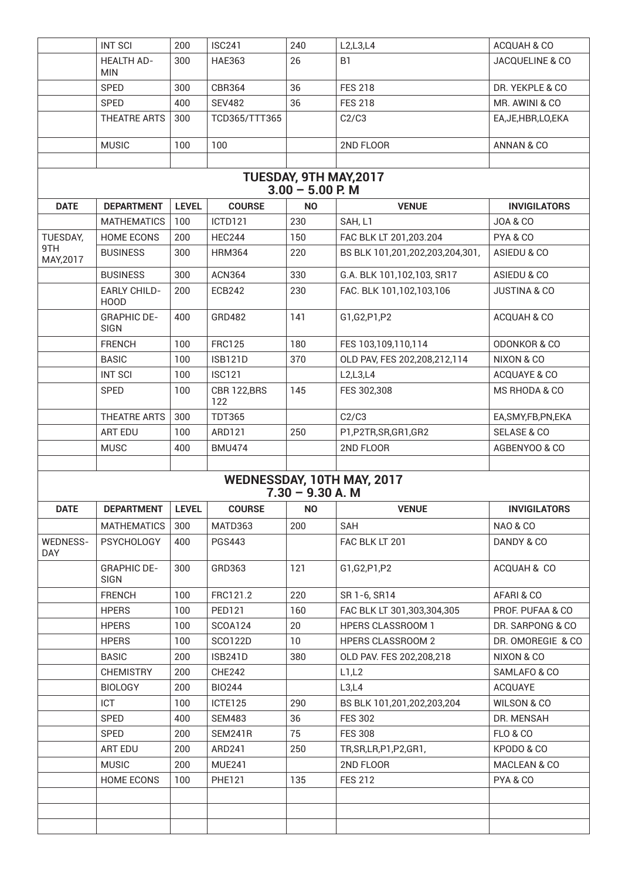|                                                  | <b>INT SCI</b>                     | 200          | <b>ISC241</b>      | 240       | L2, L3, L4                      | ACQUAH & CO             |  |  |  |
|--------------------------------------------------|------------------------------------|--------------|--------------------|-----------|---------------------------------|-------------------------|--|--|--|
|                                                  | <b>HEALTH AD-</b><br><b>MIN</b>    | 300          | <b>HAE363</b>      | 26        | B <sub>1</sub>                  | JACQUELINE & CO         |  |  |  |
|                                                  | <b>SPED</b>                        | 300          | <b>CBR364</b>      | 36        | <b>FES 218</b>                  | DR. YEKPLE & CO         |  |  |  |
|                                                  | <b>SPED</b>                        | 400          | <b>SEV482</b>      | 36        | <b>FES 218</b>                  | MR. AWINI & CO          |  |  |  |
|                                                  | THEATRE ARTS                       | 300          | TCD365/TTT365      |           | C2/C3                           | EA, JE, HBR, LO, EKA    |  |  |  |
|                                                  | <b>MUSIC</b>                       | 100          | 100                |           | 2ND FLOOR                       | ANNAN & CO              |  |  |  |
|                                                  |                                    |              |                    |           |                                 |                         |  |  |  |
| TUESDAY, 9TH MAY, 2017<br>$3.00 - 5.00$ P. M     |                                    |              |                    |           |                                 |                         |  |  |  |
| <b>DATE</b>                                      | <b>DEPARTMENT</b>                  | <b>LEVEL</b> | <b>COURSE</b>      | <b>NO</b> | <b>VENUE</b>                    | <b>INVIGILATORS</b>     |  |  |  |
|                                                  | <b>MATHEMATICS</b>                 | 100          | ICTD121            | 230       | SAH, L1                         | <b>JOA &amp; CO</b>     |  |  |  |
| TUESDAY,                                         | <b>HOME ECONS</b>                  | 200          | <b>HEC244</b>      | 150       | FAC BLK LT 201,203.204          | PYA & CO                |  |  |  |
| 9TH<br>MAY, 2017                                 | <b>BUSINESS</b>                    | 300          | <b>HRM364</b>      | 220       | BS BLK 101,201,202,203,204,301, | ASIEDU & CO             |  |  |  |
|                                                  | <b>BUSINESS</b>                    | 300          | <b>ACN364</b>      | 330       | G.A. BLK 101,102,103, SR17      | ASIEDU & CO             |  |  |  |
|                                                  | <b>EARLY CHILD-</b><br><b>HOOD</b> | 200          | <b>ECB242</b>      | 230       | FAC. BLK 101,102,103,106        | <b>JUSTINA &amp; CO</b> |  |  |  |
|                                                  | <b>GRAPHIC DE-</b><br><b>SIGN</b>  | 400          | GRD482             | 141       | G1,G2,P1,P2                     | ACQUAH & CO             |  |  |  |
|                                                  | <b>FRENCH</b>                      | 100          | <b>FRC125</b>      | 180       | FES 103,109,110,114             | <b>ODONKOR &amp; CO</b> |  |  |  |
|                                                  | <b>BASIC</b>                       | 100          | <b>ISB121D</b>     | 370       | OLD PAV, FES 202,208,212,114    | NIXON & CO              |  |  |  |
|                                                  | <b>INT SCI</b>                     | 100          | <b>ISC121</b>      |           | L2, L3, L4                      | ACQUAYE & CO            |  |  |  |
|                                                  | <b>SPED</b>                        | 100          | CBR 122,BRS<br>122 | 145       | FES 302,308                     | MS RHODA & CO           |  |  |  |
|                                                  | THEATRE ARTS                       | 300          | <b>TDT365</b>      |           | C2/C3                           | EA, SMY, FB, PN, EKA    |  |  |  |
|                                                  | <b>ART EDU</b>                     | 100          | ARD121             | 250       | P1,P2TR,SR,GR1,GR2              | <b>SELASE &amp; CO</b>  |  |  |  |
|                                                  | <b>MUSC</b>                        | 400          | <b>BMU474</b>      |           | 2ND FLOOR                       | AGBENYOO & CO           |  |  |  |
|                                                  |                                    |              |                    |           |                                 |                         |  |  |  |
| WEDNESSDAY, 10TH MAY, 2017<br>$7.30 - 9.30 A. M$ |                                    |              |                    |           |                                 |                         |  |  |  |
|                                                  |                                    |              |                    |           |                                 |                         |  |  |  |
| DATE                                             | <b>DEPARTMENT</b>                  | <b>LEVEL</b> | <b>COURSE</b>      | <b>NO</b> | <b>VENUE</b>                    | <b>INVIGILATORS</b>     |  |  |  |
|                                                  | <b>MATHEMATICS</b>                 | 300          | MATD363            | 200       | SAH                             | <b>NAO &amp; CO</b>     |  |  |  |
| <b>WEDNESS-</b><br><b>DAY</b>                    | <b>PSYCHOLOGY</b>                  | 400          | <b>PGS443</b>      |           | FAC BLK LT 201                  | DANDY & CO              |  |  |  |
|                                                  | <b>GRAPHIC DE-</b><br><b>SIGN</b>  | 300          | GRD363             | 121       | G1,G2,P1,P2                     | ACQUAH & CO             |  |  |  |
|                                                  | <b>FRENCH</b>                      | 100          | FRC121.2           | 220       | SR 1-6, SR14                    | AFARI & CO              |  |  |  |
|                                                  | <b>HPERS</b>                       | 100          | <b>PED121</b>      | 160       | FAC BLK LT 301,303,304,305      | PROF. PUFAA & CO        |  |  |  |
|                                                  | <b>HPERS</b>                       | 100          | SCOA124            | 20        | <b>HPERS CLASSROOM 1</b>        | DR. SARPONG & CO        |  |  |  |
|                                                  | <b>HPERS</b>                       | 100          | SC0122D            | 10        | <b>HPERS CLASSROOM 2</b>        | DR. OMOREGIE & CO       |  |  |  |
|                                                  | <b>BASIC</b>                       | 200          | <b>ISB241D</b>     | 380       | OLD PAV. FES 202,208,218        | NIXON & CO              |  |  |  |
|                                                  | <b>CHEMISTRY</b>                   | 200          | <b>CHE242</b>      |           | L1,L2                           | SAMLAFO & CO            |  |  |  |
|                                                  | <b>BIOLOGY</b>                     | 200          | <b>BIO244</b>      |           | L3,L4                           | <b>ACQUAYE</b>          |  |  |  |
|                                                  | ICT                                | 100          | ICTE125            | 290       | BS BLK 101,201,202,203,204      | WILSON & CO             |  |  |  |
|                                                  | SPED                               | 400          | <b>SEM483</b>      | 36        | <b>FES 302</b>                  | DR. MENSAH              |  |  |  |
|                                                  | <b>SPED</b>                        | 200          | SEM241R            | 75        | <b>FES 308</b>                  | <b>FLO &amp; CO</b>     |  |  |  |
|                                                  | ART EDU                            | 200          | ARD241             | 250       | TR, SR, LR, P1, P2, GR1,        | KPODO & CO              |  |  |  |
|                                                  | <b>MUSIC</b>                       | 200          | <b>MUE241</b>      |           | 2ND FLOOR                       | MACLEAN & CO            |  |  |  |
|                                                  | <b>HOME ECONS</b>                  | 100          | <b>PHE121</b>      | 135       | <b>FES 212</b>                  | PYA & CO                |  |  |  |
|                                                  |                                    |              |                    |           |                                 |                         |  |  |  |
|                                                  |                                    |              |                    |           |                                 |                         |  |  |  |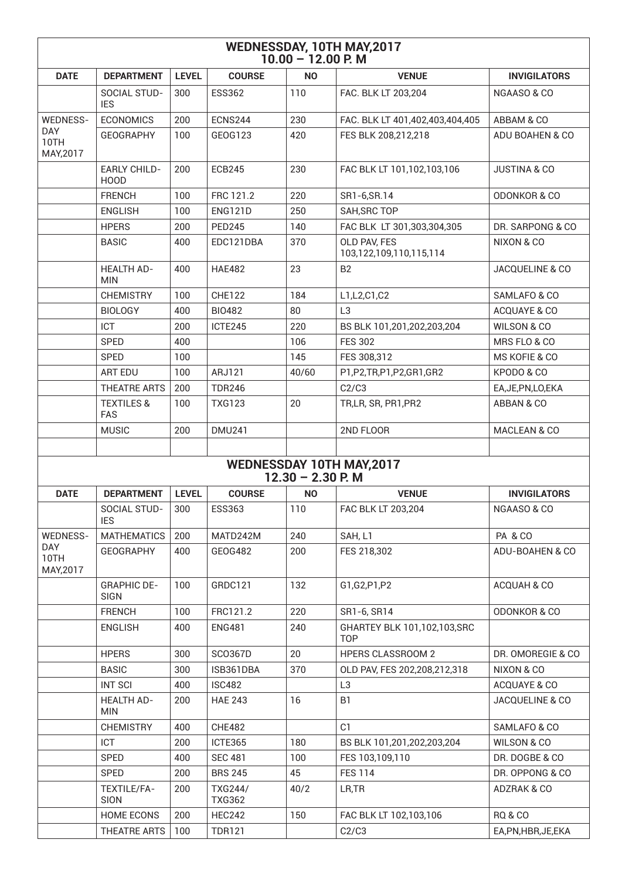| WEDNESSDAY, 10TH MAY, 2017<br>$10.00 - 12.00$ P.M |                                     |              |                          |                     |                                                 |                         |  |  |
|---------------------------------------------------|-------------------------------------|--------------|--------------------------|---------------------|-------------------------------------------------|-------------------------|--|--|
| <b>DATE</b>                                       | <b>DEPARTMENT</b>                   | <b>LEVEL</b> | <b>COURSE</b>            | <b>NO</b>           | <b>VENUE</b>                                    | <b>INVIGILATORS</b>     |  |  |
|                                                   | <b>SOCIAL STUD-</b><br><b>IES</b>   | 300          | <b>ESS362</b>            | 110                 | FAC. BLK LT 203,204                             | NGAASO & CO             |  |  |
| <b>WEDNESS-</b>                                   | <b>ECONOMICS</b>                    | 200          | ECNS244                  | 230                 | FAC. BLK LT 401,402,403,404,405                 | ABBAM & CO              |  |  |
| <b>DAY</b><br>10TH<br>MAY, 2017                   | <b>GEOGRAPHY</b>                    | 100          | GEOG123                  | 420                 | FES BLK 208,212,218                             | ADU BOAHEN & CO         |  |  |
|                                                   | <b>EARLY CHILD-</b><br>HOOD         | 200          | <b>ECB245</b>            | 230                 | FAC BLK LT 101,102,103,106                      | <b>JUSTINA &amp; CO</b> |  |  |
|                                                   | <b>FRENCH</b>                       | 100          | FRC 121.2                | 220                 | SR1-6, SR. 14                                   | <b>ODONKOR &amp; CO</b> |  |  |
|                                                   | <b>ENGLISH</b>                      | 100          | ENG121D                  | 250                 | SAH, SRC TOP                                    |                         |  |  |
|                                                   | <b>HPERS</b>                        | 200          | <b>PED245</b>            | 140                 | FAC BLK LT 301,303,304,305                      | DR. SARPONG & CO        |  |  |
|                                                   | <b>BASIC</b>                        | 400          | EDC121DBA                | 370                 | OLD PAV, FES<br>103,122,109,110,115,114         | NIXON & CO              |  |  |
|                                                   | <b>HEALTH AD-</b><br><b>MIN</b>     | 400          | <b>HAE482</b>            | 23                  | <b>B2</b>                                       | JACQUELINE & CO         |  |  |
|                                                   | <b>CHEMISTRY</b>                    | 100          | <b>CHE122</b>            | 184                 | L1, L2, C1, C2                                  | SAMLAFO & CO            |  |  |
|                                                   | <b>BIOLOGY</b>                      | 400          | <b>BIO482</b>            | 80                  | L <sub>3</sub>                                  | ACQUAYE & CO            |  |  |
|                                                   | <b>ICT</b>                          | 200          | ICTE245                  | 220                 | BS BLK 101,201,202,203,204                      | WILSON & CO             |  |  |
|                                                   | <b>SPED</b>                         | 400          |                          | 106                 | <b>FES 302</b>                                  | MRS FLO & CO            |  |  |
|                                                   | <b>SPED</b>                         | 100          |                          | 145                 | FES 308,312                                     | MS KOFIE & CO           |  |  |
|                                                   | <b>ART EDU</b>                      | 100          | ARJ121                   | 40/60               | P1,P2,TR,P1,P2,GR1,GR2                          | KPODO & CO              |  |  |
|                                                   | THEATRE ARTS                        | 200          | <b>TDR246</b>            |                     | C2/C3                                           | EA, JE, PN, LO, EKA     |  |  |
|                                                   | <b>TEXTILES &amp;</b><br><b>FAS</b> | 100          | <b>TXG123</b>            | 20                  | TR,LR, SR, PR1, PR2                             | ABBAN & CO              |  |  |
|                                                   | <b>MUSIC</b>                        | 200          | <b>DMU241</b>            |                     | 2ND FLOOR                                       | MACLEAN & CO            |  |  |
|                                                   |                                     |              |                          |                     |                                                 |                         |  |  |
|                                                   |                                     |              |                          | $12.30 - 2.30$ P. M | WEDNESSDAY 10TH MAY, 2017                       |                         |  |  |
| <b>DATE</b>                                       | <b>DEPARTMENT</b>                   | <b>LEVEL</b> | <b>COURSE</b>            | <b>NO</b>           | <b>VENUE</b>                                    | <b>INVIGILATORS</b>     |  |  |
|                                                   | SOCIAL STUD-<br><b>IES</b>          | 300          | <b>ESS363</b>            | 110                 | FAC BLK LT 203,204                              | NGAASO & CO             |  |  |
| <b>WEDNESS-</b>                                   | <b>MATHEMATICS</b>                  | 200          | MATD242M                 | 240                 | SAH, L1                                         | PA & CO                 |  |  |
| DAY<br>10TH<br>MAY, 2017                          | <b>GEOGRAPHY</b>                    | 400          | GEOG482                  | 200                 | FES 218,302                                     | ADU-BOAHEN & CO         |  |  |
|                                                   | <b>GRAPHIC DE-</b><br><b>SIGN</b>   | 100          | GRDC121                  | 132                 | G1,G2,P1,P2                                     | ACQUAH & CO             |  |  |
|                                                   | <b>FRENCH</b>                       | 100          | FRC121.2                 | 220                 | SR1-6, SR14                                     | <b>ODONKOR &amp; CO</b> |  |  |
|                                                   | <b>ENGLISH</b>                      | 400          | <b>ENG481</b>            | 240                 | GHARTEY BLK 101,102,103,SRC<br>T <sub>O</sub> P |                         |  |  |
|                                                   | <b>HPERS</b>                        | 300          | <b>SCO367D</b>           | 20                  | <b>HPERS CLASSROOM 2</b>                        | DR. OMOREGIE & CO       |  |  |
|                                                   | <b>BASIC</b>                        | 300          | ISB361DBA                | 370                 | OLD PAV, FES 202,208,212,318                    | NIXON & CO              |  |  |
|                                                   | <b>INT SCI</b>                      | 400          | <b>ISC482</b>            |                     | L <sub>3</sub>                                  | ACQUAYE & CO            |  |  |
|                                                   | <b>HEALTH AD-</b><br><b>MIN</b>     | 200          | <b>HAE 243</b>           | 16                  | B <sub>1</sub>                                  | JACQUELINE & CO         |  |  |
|                                                   | <b>CHEMISTRY</b>                    | 400          | <b>CHE482</b>            |                     | C1                                              | SAMLAFO & CO            |  |  |
|                                                   | ICT                                 | 200          | ICTE365                  | 180                 | BS BLK 101,201,202,203,204                      | WILSON & CO             |  |  |
|                                                   | SPED                                | 400          | <b>SEC 481</b>           | 100                 | FES 103,109,110                                 | DR. DOGBE & CO          |  |  |
|                                                   | SPED                                | 200          | <b>BRS 245</b>           | 45                  | <b>FES 114</b>                                  | DR. OPPONG & CO         |  |  |
|                                                   | TEXTILE/FA-<br>SION                 | 200          | TXG244/<br><b>TXG362</b> | 40/2                | LR, TR                                          | ADZRAK & CO             |  |  |
|                                                   | <b>HOME ECONS</b>                   | 200          | HEC242                   | 150                 | FAC BLK LT 102,103,106                          | <b>RQ &amp; CO</b>      |  |  |
|                                                   | THEATRE ARTS                        | 100          | <b>TDR121</b>            |                     | C2/C3                                           | EA,PN,HBR,JE,EKA        |  |  |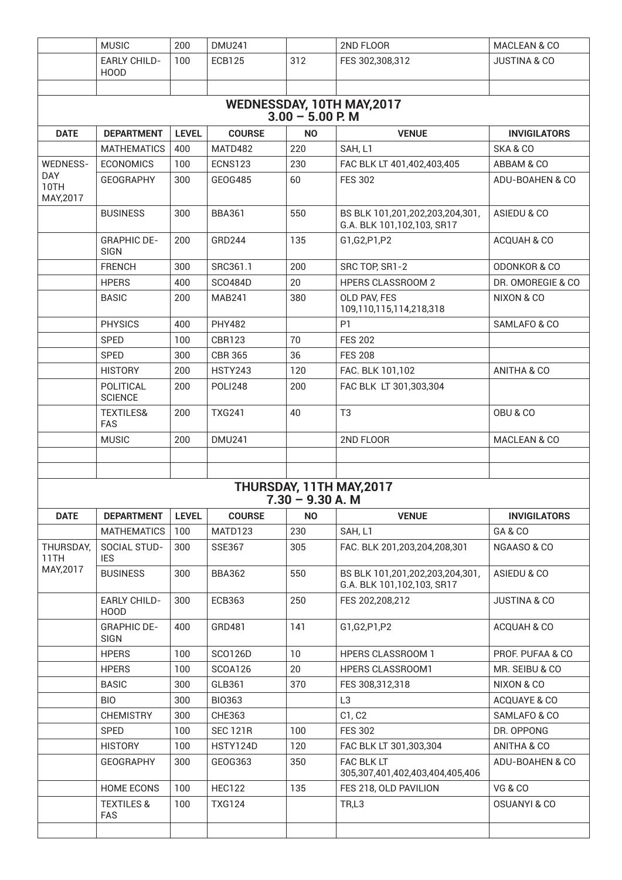|                                                  | <b>MUSIC</b>                       | 200          | <b>DMU241</b>   |                    | 2ND FLOOR                                                     | MACLEAN & CO            |  |  |  |
|--------------------------------------------------|------------------------------------|--------------|-----------------|--------------------|---------------------------------------------------------------|-------------------------|--|--|--|
|                                                  | <b>EARLY CHILD-</b><br><b>HOOD</b> | 100          | <b>ECB125</b>   | 312                | FES 302,308,312                                               | <b>JUSTINA &amp; CO</b> |  |  |  |
|                                                  |                                    |              |                 |                    |                                                               |                         |  |  |  |
| WEDNESSDAY, 10TH MAY, 2017<br>$3.00 - 5.00$ P. M |                                    |              |                 |                    |                                                               |                         |  |  |  |
| <b>DATE</b>                                      | <b>DEPARTMENT</b>                  | <b>LEVEL</b> | <b>COURSE</b>   | <b>NO</b>          | <b>VENUE</b>                                                  | <b>INVIGILATORS</b>     |  |  |  |
|                                                  | <b>MATHEMATICS</b>                 | 400          | MATD482         | 220                | SAH, L1                                                       | SKA & CO                |  |  |  |
| <b>WEDNESS-</b>                                  | <b>ECONOMICS</b>                   | 100          | <b>ECNS123</b>  | 230                | FAC BLK LT 401,402,403,405                                    | ABBAM & CO              |  |  |  |
| DAY<br>10TH<br>MAY, 2017                         | <b>GEOGRAPHY</b>                   | 300          | GEOG485         | 60                 | <b>FES 302</b>                                                | ADU-BOAHEN & CO         |  |  |  |
|                                                  | <b>BUSINESS</b>                    | 300          | <b>BBA361</b>   | 550                | BS BLK 101,201,202,203,204,301,<br>G.A. BLK 101,102,103, SR17 | ASIEDU & CO             |  |  |  |
|                                                  | <b>GRAPHIC DE-</b><br><b>SIGN</b>  | 200          | GRD244          | 135                | G1, G2, P1, P2                                                | ACQUAH & CO             |  |  |  |
|                                                  | <b>FRENCH</b>                      | 300          | SRC361.1        | 200                | SRC TOP, SR1-2                                                | <b>ODONKOR &amp; CO</b> |  |  |  |
|                                                  | <b>HPERS</b>                       | 400          | <b>SCO484D</b>  | 20                 | <b>HPERS CLASSROOM 2</b>                                      | DR. OMOREGIE & CO       |  |  |  |
|                                                  | <b>BASIC</b>                       | 200          | <b>MAB241</b>   | 380                | OLD PAV, FES<br>109,110,115,114,218,318                       | NIXON & CO              |  |  |  |
|                                                  | <b>PHYSICS</b>                     | 400          | <b>PHY482</b>   |                    | P <sub>1</sub>                                                | SAMLAFO & CO            |  |  |  |
|                                                  | <b>SPED</b>                        | 100          | <b>CBR123</b>   | 70                 | <b>FES 202</b>                                                |                         |  |  |  |
|                                                  | <b>SPED</b>                        | 300          | <b>CBR 365</b>  | 36                 | <b>FES 208</b>                                                |                         |  |  |  |
|                                                  | <b>HISTORY</b>                     | 200          | <b>HSTY243</b>  | 120                | FAC. BLK 101,102                                              | ANITHA & CO             |  |  |  |
|                                                  | POLITICAL<br><b>SCIENCE</b>        | 200          | POLI248         | 200                | FAC BLK LT 301,303,304                                        |                         |  |  |  |
|                                                  | <b>TEXTILES&amp;</b><br><b>FAS</b> | 200          | <b>TXG241</b>   | 40                 | T <sub>3</sub>                                                | OBU & CO                |  |  |  |
|                                                  | <b>MUSIC</b>                       | 200          | <b>DMU241</b>   |                    | 2ND FLOOR                                                     | MACLEAN & CO            |  |  |  |
|                                                  |                                    |              |                 |                    |                                                               |                         |  |  |  |
|                                                  |                                    |              |                 |                    |                                                               |                         |  |  |  |
|                                                  |                                    |              |                 | $7.30 - 9.30 A. M$ | THURSDAY, 11TH MAY, 2017                                      |                         |  |  |  |
| <b>DATE</b>                                      | <b>DEPARTMENT</b>                  | <b>LEVEL</b> | <b>COURSE</b>   | <b>NO</b>          | <b>VENUE</b>                                                  | <b>INVIGILATORS</b>     |  |  |  |
|                                                  | <b>MATHEMATICS</b>                 | 100          | MATD123         | 230                | SAH, L1                                                       | GA&CO                   |  |  |  |
| THURSDAY,<br>11TH                                | SOCIAL STUD-<br><b>IES</b>         | 300          | <b>SSE367</b>   | 305                | FAC. BLK 201,203,204,208,301                                  | NGAASO & CO             |  |  |  |
| MAY, 2017                                        | <b>BUSINESS</b>                    | 300          | <b>BBA362</b>   | 550                | BS BLK 101,201,202,203,204,301,<br>G.A. BLK 101,102,103, SR17 | ASIEDU & CO             |  |  |  |
|                                                  | <b>EARLY CHILD-</b><br><b>HOOD</b> | 300          | <b>ECB363</b>   | 250                | FES 202,208,212                                               | <b>JUSTINA &amp; CO</b> |  |  |  |
|                                                  | <b>GRAPHIC DE-</b><br><b>SIGN</b>  | 400          | GRD481          | 141                | G1,G2,P1,P2                                                   | ACQUAH & CO             |  |  |  |
|                                                  | <b>HPERS</b>                       | 100          | SCO126D         | 10                 | <b>HPERS CLASSROOM 1</b>                                      | PROF. PUFAA & CO        |  |  |  |
|                                                  | <b>HPERS</b>                       | 100          | <b>SCOA126</b>  | 20                 | HPERS CLASSROOM1                                              | MR. SEIBU & CO          |  |  |  |
|                                                  | <b>BASIC</b>                       | 300          | GLB361          | 370                | FES 308,312,318                                               | NIXON & CO              |  |  |  |
|                                                  | <b>BIO</b>                         | 300          | <b>BIO363</b>   |                    | L <sub>3</sub>                                                | ACQUAYE & CO            |  |  |  |
|                                                  | <b>CHEMISTRY</b>                   | 300          | <b>CHE363</b>   |                    | C1, C2                                                        | SAMLAFO & CO            |  |  |  |
|                                                  | <b>SPED</b>                        | 100          | <b>SEC 121R</b> | 100                | <b>FES 302</b>                                                | DR. OPPONG              |  |  |  |
|                                                  | <b>HISTORY</b>                     | 100          | HSTY124D        | 120                | FAC BLK LT 301,303,304                                        | ANITHA & CO             |  |  |  |
|                                                  | <b>GEOGRAPHY</b>                   | 300          | GEOG363         | 350                | <b>FAC BLK LT</b><br>305,307,401,402,403,404,405,406          | ADU-BOAHEN & CO         |  |  |  |
|                                                  | <b>HOME ECONS</b>                  | 100          | <b>HEC122</b>   | 135                | FES 218, OLD PAVILION                                         | VG & CO                 |  |  |  |
|                                                  | <b>TEXTILES &amp;</b><br>FAS       | 100          | <b>TXG124</b>   |                    | TR,L3                                                         | <b>OSUANYI &amp; CO</b> |  |  |  |
|                                                  |                                    |              |                 |                    |                                                               |                         |  |  |  |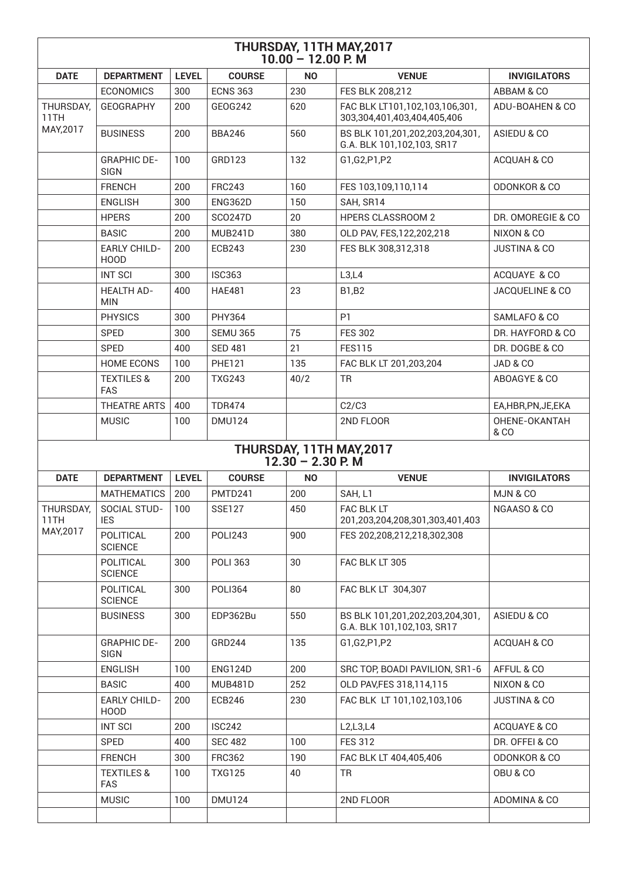| THURSDAY, 11TH MAY, 2017<br>$10.00 - 12.00$ P.M |                                     |              |                 |                     |                                                               |                            |  |  |
|-------------------------------------------------|-------------------------------------|--------------|-----------------|---------------------|---------------------------------------------------------------|----------------------------|--|--|
| <b>DATE</b>                                     | <b>DEPARTMENT</b>                   | <b>LEVEL</b> | <b>COURSE</b>   | <b>NO</b>           | <b>VENUE</b>                                                  | <b>INVIGILATORS</b>        |  |  |
|                                                 | <b>ECONOMICS</b>                    | 300          | <b>ECNS 363</b> | 230                 | FES BLK 208,212                                               | ABBAM & CO                 |  |  |
| THURSDAY,<br>11TH                               | <b>GEOGRAPHY</b>                    | 200          | GEOG242         | 620                 | FAC BLK LT101,102,103,106,301,<br>303,304,401,403,404,405,406 | ADU-BOAHEN & CO            |  |  |
| MAY, 2017                                       | <b>BUSINESS</b>                     | 200          | <b>BBA246</b>   | 560                 | BS BLK 101,201,202,203,204,301,<br>G.A. BLK 101,102,103, SR17 | ASIEDU & CO                |  |  |
|                                                 | <b>GRAPHIC DE-</b><br><b>SIGN</b>   | 100          | GRD123          | 132                 | G1,G2,P1,P2                                                   | ACQUAH & CO                |  |  |
|                                                 | <b>FRENCH</b>                       | 200          | <b>FRC243</b>   | 160                 | FES 103,109,110,114                                           | <b>ODONKOR &amp; CO</b>    |  |  |
|                                                 | <b>ENGLISH</b>                      | 300          | <b>ENG362D</b>  | 150                 | SAH, SR14                                                     |                            |  |  |
|                                                 | <b>HPERS</b>                        | 200          | <b>SCO247D</b>  | 20                  | <b>HPERS CLASSROOM 2</b>                                      | DR. OMOREGIE & CO.         |  |  |
|                                                 | <b>BASIC</b>                        | 200          | MUB241D         | 380                 | OLD PAV, FES, 122, 202, 218                                   | NIXON & CO                 |  |  |
|                                                 | <b>EARLY CHILD-</b><br><b>HOOD</b>  | 200          | <b>ECB243</b>   | 230                 | FES BLK 308,312,318                                           | <b>JUSTINA &amp; CO</b>    |  |  |
|                                                 | <b>INT SCI</b>                      | 300          | <b>ISC363</b>   |                     | L3,L4                                                         | ACQUAYE & CO               |  |  |
|                                                 | <b>HEALTH AD-</b><br><b>MIN</b>     | 400          | <b>HAE481</b>   | 23                  | <b>B1,B2</b>                                                  | <b>JACQUELINE &amp; CO</b> |  |  |
|                                                 | <b>PHYSICS</b>                      | 300          | <b>PHY364</b>   |                     | P1                                                            | SAMLAFO & CO               |  |  |
|                                                 | <b>SPED</b>                         | 300          | <b>SEMU 365</b> | 75                  | <b>FES 302</b>                                                | DR. HAYFORD & CO.          |  |  |
|                                                 | <b>SPED</b>                         | 400          | <b>SED 481</b>  | 21                  | <b>FES115</b>                                                 | DR. DOGBE & CO             |  |  |
|                                                 | <b>HOME ECONS</b>                   | 100          | <b>PHE121</b>   | 135                 | FAC BLK LT 201,203,204                                        | JAD & CO                   |  |  |
|                                                 | <b>TEXTILES &amp;</b><br><b>FAS</b> | 200          | <b>TXG243</b>   | 40/2                | <b>TR</b>                                                     | ABOAGYE & CO               |  |  |
|                                                 | THEATRE ARTS                        | 400          | <b>TDR474</b>   |                     | C2/C3                                                         | EA,HBR,PN,JE,EKA           |  |  |
|                                                 | <b>MUSIC</b>                        | 100          | <b>DMU124</b>   |                     | 2ND FLOOR                                                     | OHENE-OKANTAH<br>& CO      |  |  |
|                                                 |                                     |              |                 | $12.30 - 2.30$ P. M | THURSDAY, 11TH MAY, 2017                                      |                            |  |  |
| <b>DATE</b>                                     | <b>DEPARTMENT</b>                   | <b>LEVEL</b> | <b>COURSE</b>   | <b>NO</b>           | <b>VENUE</b>                                                  | <b>INVIGILATORS</b>        |  |  |
|                                                 | <b>MATHEMATICS</b>                  | 200          | PMTD241         | 200                 | SAH, L1                                                       | MJN&CO                     |  |  |
| THURSDAY,<br>11TH                               | SOCIAL STUD-<br><b>IES</b>          | 100          | <b>SSE127</b>   | 450                 | FAC BLK LT<br>201,203,204,208,301,303,401,403                 | NGAASO & CO                |  |  |
| MAY, 2017                                       | POLITICAL<br><b>SCIENCE</b>         | 200          | <b>POLI243</b>  | 900                 | FES 202,208,212,218,302,308                                   |                            |  |  |
|                                                 | <b>POLITICAL</b><br><b>SCIENCE</b>  | 300          | <b>POLI 363</b> | 30                  | FAC BLK LT 305                                                |                            |  |  |
|                                                 | POLITICAL<br><b>SCIENCE</b>         | 300          | <b>POLI364</b>  | 80                  | FAC BLK LT 304,307                                            |                            |  |  |
|                                                 | <b>BUSINESS</b>                     | 300          | EDP362Bu        | 550                 | BS BLK 101,201,202,203,204,301,<br>G.A. BLK 101,102,103, SR17 | ASIEDU & CO                |  |  |
|                                                 | <b>GRAPHIC DE-</b><br><b>SIGN</b>   | 200          | GRD244          | 135                 | G1,G2,P1,P2                                                   | ACQUAH & CO                |  |  |
|                                                 | <b>ENGLISH</b>                      | 100          | <b>ENG124D</b>  | 200                 | SRC TOP, BOADI PAVILION, SR1-6                                | AFFUL & CO                 |  |  |
|                                                 | <b>BASIC</b>                        | 400          | <b>MUB481D</b>  | 252                 | OLD PAV, FES 318, 114, 115                                    | NIXON & CO                 |  |  |
|                                                 | <b>EARLY CHILD-</b><br><b>HOOD</b>  | 200          | <b>ECB246</b>   | 230                 | FAC BLK LT 101,102,103,106                                    | <b>JUSTINA &amp; CO</b>    |  |  |
|                                                 | <b>INT SCI</b>                      | 200          | <b>ISC242</b>   |                     | L2,L3,L4                                                      | ACQUAYE & CO               |  |  |
|                                                 | SPED                                | 400          | <b>SEC 482</b>  | 100                 | <b>FES 312</b>                                                | DR. OFFEI & CO             |  |  |
|                                                 | <b>FRENCH</b>                       | 300          | <b>FRC362</b>   | 190                 | FAC BLK LT 404,405,406                                        | <b>ODONKOR &amp; CO</b>    |  |  |
|                                                 | <b>TEXTILES &amp;</b><br><b>FAS</b> | 100          | <b>TXG125</b>   | 40                  | <b>TR</b>                                                     | OBU & CO                   |  |  |
|                                                 | <b>MUSIC</b>                        | 100          | <b>DMU124</b>   |                     | 2ND FLOOR                                                     | ADOMINA & CO               |  |  |
|                                                 |                                     |              |                 |                     |                                                               |                            |  |  |
|                                                 |                                     |              |                 |                     |                                                               |                            |  |  |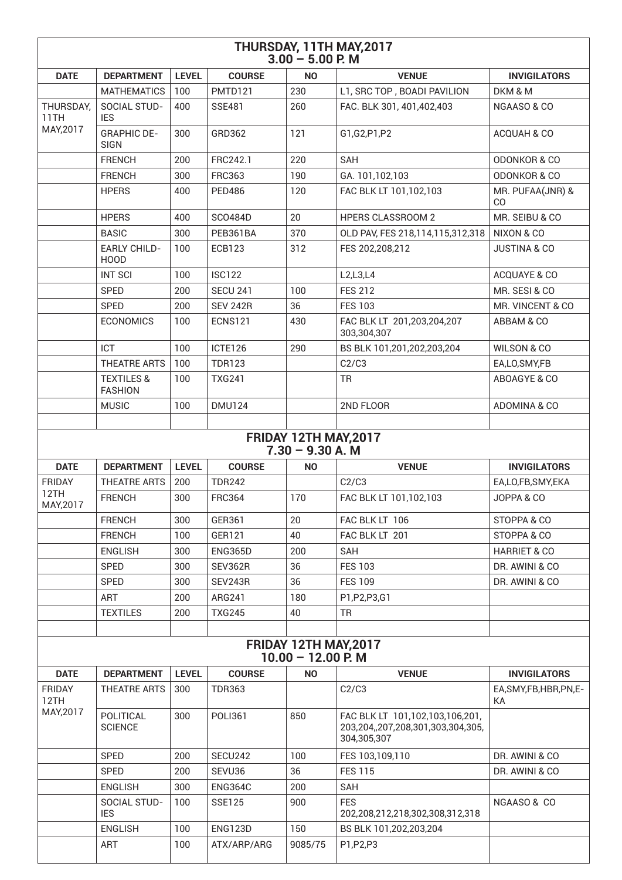| THURSDAY, 11TH MAY, 2017<br>$3.00 - 5.00$ P. M |                                         |              |                 |                                                          |                                                                      |                                    |  |
|------------------------------------------------|-----------------------------------------|--------------|-----------------|----------------------------------------------------------|----------------------------------------------------------------------|------------------------------------|--|
| <b>DATE</b>                                    | <b>DEPARTMENT</b>                       | <b>LEVEL</b> | <b>COURSE</b>   | <b>NO</b>                                                | <b>VENUE</b>                                                         | <b>INVIGILATORS</b>                |  |
|                                                | <b>MATHEMATICS</b>                      | 100          | PMTD121         | 230                                                      | L1, SRC TOP, BOADI PAVILION                                          | DKM & M                            |  |
| THURSDAY,<br>11TH<br>MAY, 2017                 | SOCIAL STUD-<br><b>IES</b>              | 400          | <b>SSE481</b>   | 260                                                      | FAC. BLK 301, 401,402,403                                            | NGAASO & CO                        |  |
|                                                | <b>GRAPHIC DE-</b><br><b>SIGN</b>       | 300          | GRD362          | 121                                                      | G1,G2,P1,P2                                                          | ACQUAH & CO                        |  |
|                                                | <b>FRENCH</b>                           | 200          | FRC242.1        | 220                                                      | <b>SAH</b>                                                           | <b>ODONKOR &amp; CO</b>            |  |
|                                                | <b>FRENCH</b>                           | 300          | <b>FRC363</b>   | 190                                                      | GA. 101,102,103                                                      | <b>ODONKOR &amp; CO</b>            |  |
|                                                | <b>HPERS</b>                            | 400          | <b>PED486</b>   | 120                                                      | FAC BLK LT 101,102,103                                               | MR. PUFAA(JNR) &<br>C <sub>O</sub> |  |
|                                                | <b>HPERS</b>                            | 400          | <b>SCO484D</b>  | 20                                                       | <b>HPERS CLASSROOM 2</b>                                             | MR. SEIBU & CO                     |  |
|                                                | <b>BASIC</b>                            | 300          | PEB361BA        | 370                                                      | OLD PAV, FES 218,114,115,312,318                                     | NIXON & CO                         |  |
|                                                | <b>EARLY CHILD-</b><br><b>HOOD</b>      | 100          | <b>ECB123</b>   | 312                                                      | FES 202,208,212                                                      | <b>JUSTINA &amp; CO</b>            |  |
|                                                | <b>INT SCI</b>                          | 100          | <b>ISC122</b>   |                                                          | L2,L3,L4                                                             | ACQUAYE & CO                       |  |
|                                                | <b>SPED</b>                             | 200          | <b>SECU 241</b> | 100                                                      | <b>FES 212</b>                                                       | MR. SESI & CO                      |  |
|                                                | SPED                                    | 200          | <b>SEV 242R</b> | 36                                                       | <b>FES 103</b>                                                       | MR. VINCENT & CO                   |  |
|                                                | <b>ECONOMICS</b>                        | 100          | <b>ECNS121</b>  | 430                                                      | FAC BLK LT 201,203,204,207<br>303,304,307                            | ABBAM & CO                         |  |
|                                                | ICT                                     | 100          | ICTE126         | 290                                                      | BS BLK 101,201,202,203,204                                           | WILSON & CO                        |  |
|                                                | <b>THEATRE ARTS</b>                     | 100          | <b>TDR123</b>   |                                                          | C2/C3                                                                | EA,LO,SMY,FB                       |  |
|                                                | <b>TEXTILES &amp;</b><br><b>FASHION</b> | 100          | <b>TXG241</b>   |                                                          | <b>TR</b>                                                            | ABOAGYE & CO                       |  |
|                                                | <b>MUSIC</b>                            | 100          | <b>DMU124</b>   |                                                          | 2ND FLOOR                                                            | ADOMINA & CO                       |  |
| <b>DATE</b>                                    | <b>DEPARTMENT</b>                       | <b>LEVEL</b> | <b>COURSE</b>   | FRIDAY 12TH MAY, 2017<br>$7.30 - 9.30 A. M$<br><b>NO</b> | <b>VENUE</b>                                                         | <b>INVIGILATORS</b>                |  |
| <b>FRIDAY</b>                                  | <b>THEATRE ARTS</b>                     | 200          | <b>TDR242</b>   |                                                          | C2/C3                                                                | EA,LO,FB,SMY,EKA                   |  |
| 12TH<br>MAY, 2017                              | <b>FRENCH</b>                           | 300          | <b>FRC364</b>   | 170                                                      | FAC BLK LT 101,102,103                                               | JOPPA & CO                         |  |
|                                                | <b>FRENCH</b>                           | 300          | GER361          | 20                                                       | FAC BLK LT 106                                                       | STOPPA & CO                        |  |
|                                                | <b>FRENCH</b>                           | 100          | GER121          | 40                                                       | FAC BLK LT 201                                                       | STOPPA & CO                        |  |
|                                                | <b>ENGLISH</b>                          | 300          | ENG365D         | 200                                                      | <b>SAH</b>                                                           | <b>HARRIET &amp; CO</b>            |  |
|                                                | <b>SPED</b>                             | 300          | SEV362R         | 36                                                       | <b>FES 103</b>                                                       | DR. AWINI & CO                     |  |
|                                                | SPED                                    | 300          | SEV243R         | 36                                                       | <b>FES 109</b>                                                       | DR. AWINI & CO                     |  |
|                                                | <b>ART</b>                              | 200          | ARG241          | 180                                                      | P1, P2, P3, G1                                                       |                                    |  |
|                                                | <b>TEXTILES</b>                         | 200          | <b>TXG245</b>   | 40                                                       | <b>TR</b>                                                            |                                    |  |
| FRIDAY 12TH MAY, 2017<br>$10.00 - 12.00$ P. M  |                                         |              |                 |                                                          |                                                                      |                                    |  |
| <b>DATE</b>                                    | <b>DEPARTMENT</b>                       | <b>LEVEL</b> | <b>COURSE</b>   | <b>NO</b>                                                | <b>VENUE</b>                                                         | <b>INVIGILATORS</b>                |  |
| <b>FRIDAY</b><br>12TH                          | <b>THEATRE ARTS</b>                     | 300          | <b>TDR363</b>   |                                                          | C2/C3                                                                | EA, SMY, FB, HBR, PN, E-<br>КA     |  |
| MAY, 2017                                      | POLITICAL<br><b>SCIENCE</b>             | 300          | <b>POLI361</b>  | 850                                                      | FAC BLK LT 101,102,103,106,201,<br>203,204,,207,208,301,303,304,305, |                                    |  |
|                                                |                                         |              |                 |                                                          | 304,305,307                                                          |                                    |  |
|                                                | SPED                                    | 200          | SECU242         | 100                                                      | FES 103,109,110                                                      | DR. AWINI & CO                     |  |
|                                                | <b>SPED</b>                             | 200          | SEVU36          | 36                                                       | <b>FES 115</b>                                                       | DR. AWINI & CO                     |  |
|                                                | <b>ENGLISH</b>                          | 300          | <b>ENG364C</b>  | 200                                                      | SAH                                                                  |                                    |  |
|                                                | SOCIAL STUD-<br><b>IES</b>              | 100          | <b>SSE125</b>   | 900                                                      | <b>FES</b><br>202,208,212,218,302,308,312,318                        | NGAASO & CO                        |  |
|                                                | <b>ENGLISH</b>                          | 100          | <b>ENG123D</b>  | 150                                                      | BS BLK 101,202,203,204                                               |                                    |  |
|                                                | <b>ART</b>                              | 100          | ATX/ARP/ARG     | 9085/75                                                  | P1, P2, P3                                                           |                                    |  |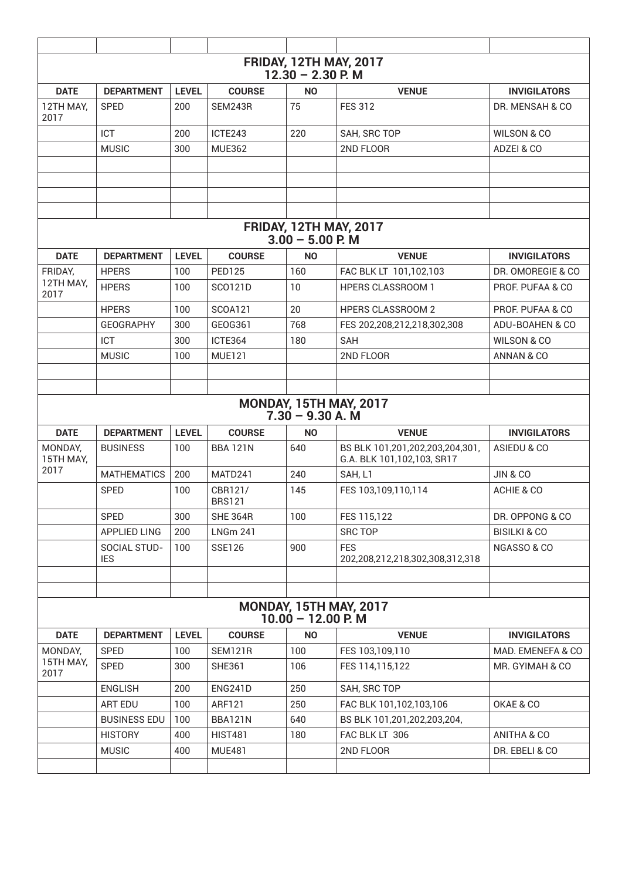| <b>FRIDAY, 12TH MAY, 2017</b><br>$12.30 - 2.30$ P. M  |                            |              |                          |                                                     |                                                               |                         |  |
|-------------------------------------------------------|----------------------------|--------------|--------------------------|-----------------------------------------------------|---------------------------------------------------------------|-------------------------|--|
| <b>DATE</b>                                           | <b>DEPARTMENT</b>          | <b>LEVEL</b> | <b>COURSE</b>            | <b>NO</b>                                           | <b>VENUE</b>                                                  | <b>INVIGILATORS</b>     |  |
| 12TH MAY,<br>2017                                     | <b>SPED</b>                | 200          | SEM243R                  | 75                                                  | <b>FES 312</b>                                                | DR. MENSAH & CO         |  |
|                                                       | ICT                        | 200          | ICTE243                  | 220                                                 | SAH, SRC TOP                                                  | <b>WILSON &amp; CO</b>  |  |
|                                                       | <b>MUSIC</b>               | 300          | <b>MUE362</b>            |                                                     | 2ND FLOOR                                                     | ADZEI & CO              |  |
|                                                       |                            |              |                          |                                                     |                                                               |                         |  |
|                                                       |                            |              |                          |                                                     |                                                               |                         |  |
|                                                       |                            |              |                          |                                                     |                                                               |                         |  |
|                                                       |                            |              |                          |                                                     |                                                               |                         |  |
|                                                       |                            |              |                          | <b>FRIDAY, 12TH MAY, 2017</b><br>$3.00 - 5.00$ P. M |                                                               |                         |  |
| <b>DATE</b>                                           | <b>DEPARTMENT</b>          | <b>LEVEL</b> | <b>COURSE</b>            | <b>NO</b>                                           | <b>VENUE</b>                                                  | <b>INVIGILATORS</b>     |  |
| FRIDAY,                                               | <b>HPERS</b>               | 100          | <b>PED125</b>            | 160                                                 | FAC BLK LT 101,102,103                                        | DR. OMOREGIE & CO.      |  |
| 12TH MAY,<br>2017                                     | <b>HPERS</b>               | 100          | SC0121D                  | 10                                                  | <b>HPERS CLASSROOM 1</b>                                      | PROF. PUFAA & CO        |  |
|                                                       | <b>HPERS</b>               | 100          | <b>SCOA121</b>           | 20                                                  | <b>HPERS CLASSROOM 2</b>                                      | PROF. PUFAA & CO        |  |
|                                                       | <b>GEOGRAPHY</b>           | 300          | GEOG361                  | 768                                                 | FES 202,208,212,218,302,308                                   | ADU-BOAHEN & CO         |  |
|                                                       | ICT                        | 300          | ICTE364                  | 180                                                 | <b>SAH</b>                                                    | <b>WILSON &amp; CO</b>  |  |
|                                                       | <b>MUSIC</b>               | 100          | <b>MUE121</b>            |                                                     | 2ND FLOOR                                                     | ANNAN & CO              |  |
|                                                       |                            |              |                          |                                                     |                                                               |                         |  |
|                                                       |                            |              |                          |                                                     |                                                               |                         |  |
|                                                       |                            |              |                          | $7.30 - 9.30 A. M$                                  | <b>MONDAY, 15TH MAY, 2017</b>                                 |                         |  |
| <b>DATE</b>                                           | <b>DEPARTMENT</b>          | <b>LEVEL</b> | <b>COURSE</b>            | <b>NO</b>                                           | <b>VENUE</b>                                                  | <b>INVIGILATORS</b>     |  |
| MONDAY,<br>15TH MAY,                                  | <b>BUSINESS</b>            | 100          | <b>BBA 121N</b>          | 640                                                 | BS BLK 101,201,202,203,204,301,<br>G.A. BLK 101,102,103, SR17 | ASIEDU & CO             |  |
| 2017                                                  | <b>MATHEMATICS</b>         | 200          | MATD241                  | 240                                                 | SAH, L1                                                       | <b>JIN &amp; CO</b>     |  |
|                                                       | <b>SPED</b>                | 100          | CBR121/<br><b>BRS121</b> | 145                                                 | FES 103,109,110,114                                           | ACHIE & CO              |  |
|                                                       | SPED                       | 300          | <b>SHE 364R</b>          | 100                                                 | FES 115,122                                                   | DR. OPPONG & CO         |  |
|                                                       | <b>APPLIED LING</b>        | 200          | <b>LNGm 241</b>          |                                                     | <b>SRC TOP</b>                                                | <b>BISILKI &amp; CO</b> |  |
|                                                       | SOCIAL STUD-<br><b>IES</b> | 100          | <b>SSE126</b>            | 900                                                 | <b>FES</b><br>202,208,212,218,302,308,312,318                 | NGASSO & CO             |  |
|                                                       |                            |              |                          |                                                     |                                                               |                         |  |
|                                                       |                            |              |                          |                                                     |                                                               |                         |  |
| <b>MONDAY, 15TH MAY, 2017</b><br>$10.00 - 12.00$ P. M |                            |              |                          |                                                     |                                                               |                         |  |
| <b>DATE</b>                                           | <b>DEPARTMENT</b>          | <b>LEVEL</b> | <b>COURSE</b>            | <b>NO</b>                                           | <b>VENUE</b>                                                  | <b>INVIGILATORS</b>     |  |
| MONDAY,                                               | SPED                       | 100          | SEM121R                  | 100                                                 | FES 103,109,110                                               | MAD. EMENEFA & CO       |  |
| 15TH MAY,<br>2017                                     | SPED                       | 300          | <b>SHE361</b>            | 106                                                 | FES 114,115,122                                               | MR. GYIMAH & CO         |  |
|                                                       | <b>ENGLISH</b>             | 200          | ENG241D                  | 250                                                 | SAH, SRC TOP                                                  |                         |  |
|                                                       | ART EDU                    | 100          | ARF121                   | 250                                                 | FAC BLK 101,102,103,106                                       | OKAE & CO               |  |
|                                                       | <b>BUSINESS EDU</b>        | 100          | BBA121N                  | 640                                                 | BS BLK 101,201,202,203,204,                                   |                         |  |
|                                                       | <b>HISTORY</b>             | 400          | <b>HIST481</b>           | 180                                                 | FAC BLK LT 306                                                | ANITHA & CO             |  |
|                                                       | <b>MUSIC</b>               | 400          | <b>MUE481</b>            |                                                     | 2ND FLOOR                                                     | DR. EBELI & CO          |  |
|                                                       |                            |              |                          |                                                     |                                                               |                         |  |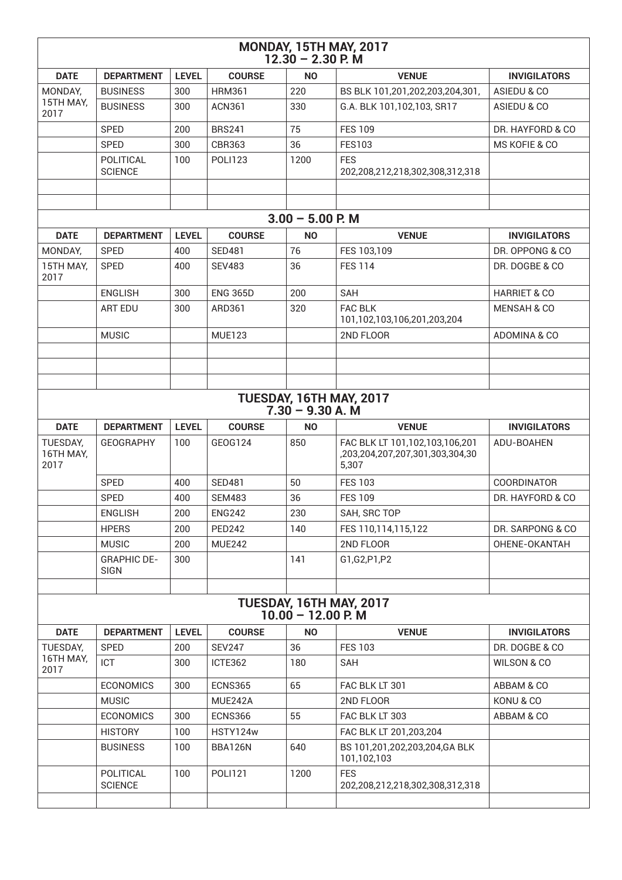| <b>MONDAY, 15TH MAY, 2017</b><br>$12.30 - 2.30$ P. M |                                                 |              |                 |                    |                                                                            |                         |  |  |
|------------------------------------------------------|-------------------------------------------------|--------------|-----------------|--------------------|----------------------------------------------------------------------------|-------------------------|--|--|
| <b>DATE</b>                                          | <b>DEPARTMENT</b>                               | <b>LEVEL</b> | <b>COURSE</b>   | <b>NO</b>          | <b>VENUE</b>                                                               | <b>INVIGILATORS</b>     |  |  |
| MONDAY,                                              | <b>BUSINESS</b>                                 | 300          | <b>HRM361</b>   | 220                | BS BLK 101,201,202,203,204,301,                                            | ASIEDU & CO             |  |  |
| 15TH MAY,<br>2017                                    | <b>BUSINESS</b>                                 | 300          | <b>ACN361</b>   | 330                | G.A. BLK 101,102,103, SR17                                                 | ASIEDU & CO             |  |  |
|                                                      | <b>SPED</b>                                     | 200          | <b>BRS241</b>   | 75                 | <b>FES 109</b>                                                             | DR. HAYFORD & CO        |  |  |
|                                                      | <b>SPED</b>                                     | 300          | <b>CBR363</b>   | 36                 | <b>FES103</b>                                                              | MS KOFIE & CO           |  |  |
|                                                      | POLITICAL<br><b>SCIENCE</b>                     | 100          | <b>POLI123</b>  | 1200               | <b>FES</b><br>202,208,212,218,302,308,312,318                              |                         |  |  |
|                                                      |                                                 |              |                 |                    |                                                                            |                         |  |  |
|                                                      |                                                 |              |                 |                    |                                                                            |                         |  |  |
|                                                      |                                                 |              |                 | $3.00 - 5.00$ P. M |                                                                            |                         |  |  |
| <b>DATE</b>                                          | <b>DEPARTMENT</b>                               | <b>LEVEL</b> | <b>COURSE</b>   | <b>NO</b>          | <b>VENUE</b>                                                               | <b>INVIGILATORS</b>     |  |  |
| MONDAY,                                              | <b>SPED</b>                                     | 400          | <b>SED481</b>   | 76                 | FES 103,109                                                                | DR. OPPONG & CO         |  |  |
| 15TH MAY,<br>2017                                    | <b>SPED</b>                                     | 400          | <b>SEV483</b>   | 36                 | <b>FES 114</b>                                                             | DR. DOGBE & CO          |  |  |
|                                                      | <b>ENGLISH</b>                                  | 300          | <b>ENG 365D</b> | 200                | <b>SAH</b>                                                                 | <b>HARRIET &amp; CO</b> |  |  |
|                                                      | <b>ART EDU</b>                                  | 300          | ARD361          | 320                | <b>FAC BLK</b><br>101,102,103,106,201,203,204                              | <b>MENSAH &amp; CO</b>  |  |  |
|                                                      | <b>MUSIC</b>                                    |              | <b>MUE123</b>   |                    | 2ND FLOOR                                                                  | ADOMINA & CO            |  |  |
|                                                      |                                                 |              |                 |                    |                                                                            |                         |  |  |
|                                                      |                                                 |              |                 |                    |                                                                            |                         |  |  |
|                                                      |                                                 |              |                 | $7.30 - 9.30 A. M$ | TUESDAY, 16TH MAY, 2017                                                    |                         |  |  |
| <b>DATE</b>                                          | <b>DEPARTMENT</b>                               | <b>LEVEL</b> | <b>COURSE</b>   | <b>NO</b>          | <b>VENUE</b>                                                               | <b>INVIGILATORS</b>     |  |  |
| TUESDAY,<br>16TH MAY,<br>2017                        | <b>GEOGRAPHY</b>                                | 100          | GEOG124         | 850                | FAC BLK LT 101,102,103,106,201<br>,203,204,207,207,301,303,304,30<br>5,307 | ADU-BOAHEN              |  |  |
|                                                      | <b>SPED</b>                                     | 400          | <b>SED481</b>   | 50                 | <b>FES 103</b>                                                             | <b>COORDINATOR</b>      |  |  |
|                                                      | <b>SPED</b>                                     | 400          | <b>SEM483</b>   | 36                 | <b>FES 109</b>                                                             | DR. HAYFORD & CO        |  |  |
|                                                      | <b>ENGLISH</b>                                  | 200          | <b>ENG242</b>   | 230                | SAH, SRC TOP                                                               |                         |  |  |
|                                                      | <b>HPERS</b>                                    | 200          | <b>PED242</b>   | 140                | FES 110,114,115,122                                                        | DR. SARPONG & CO        |  |  |
|                                                      |                                                 | 200          |                 |                    |                                                                            |                         |  |  |
|                                                      | <b>MUSIC</b><br><b>GRAPHIC DE-</b>              | 300          | <b>MUE242</b>   | 141                | 2ND FLOOR                                                                  | OHENE-OKANTAH           |  |  |
|                                                      | <b>SIGN</b>                                     |              |                 |                    | G1,G2,P1,P2                                                                |                         |  |  |
|                                                      |                                                 |              |                 |                    |                                                                            |                         |  |  |
|                                                      | TUESDAY, 16TH MAY, 2017<br>$10.00 - 12.00$ P. M |              |                 |                    |                                                                            |                         |  |  |
| <b>DATE</b>                                          | <b>DEPARTMENT</b>                               | <b>LEVEL</b> | <b>COURSE</b>   | <b>NO</b>          | <b>VENUE</b>                                                               | <b>INVIGILATORS</b>     |  |  |
| TUESDAY,                                             | <b>SPED</b>                                     | 200          | <b>SEV247</b>   | 36                 | <b>FES 103</b>                                                             | DR. DOGBE & CO          |  |  |
| 16TH MAY,<br>2017                                    | ICT                                             | 300          | ICTE362         | 180                | SAH                                                                        | WILSON & CO             |  |  |
|                                                      | <b>ECONOMICS</b>                                | 300          | ECNS365         | 65                 | FAC BLK LT 301                                                             | ABBAM & CO              |  |  |
|                                                      | <b>MUSIC</b>                                    |              | MUE242A         |                    | 2ND FLOOR                                                                  | KONU & CO               |  |  |
|                                                      | <b>ECONOMICS</b>                                | 300          | ECNS366         | 55                 | FAC BLK LT 303                                                             | ABBAM & CO              |  |  |
|                                                      | <b>HISTORY</b>                                  | 100          | HSTY124w        |                    | FAC BLK LT 201,203,204                                                     |                         |  |  |
|                                                      | <b>BUSINESS</b>                                 | 100          | BBA126N         | 640                | BS 101,201,202,203,204,GA BLK<br>101,102,103                               |                         |  |  |
|                                                      | POLITICAL<br><b>SCIENCE</b>                     | 100          | <b>POLI121</b>  | 1200               | <b>FES</b><br>202,208,212,218,302,308,312,318                              |                         |  |  |
|                                                      |                                                 |              |                 |                    |                                                                            |                         |  |  |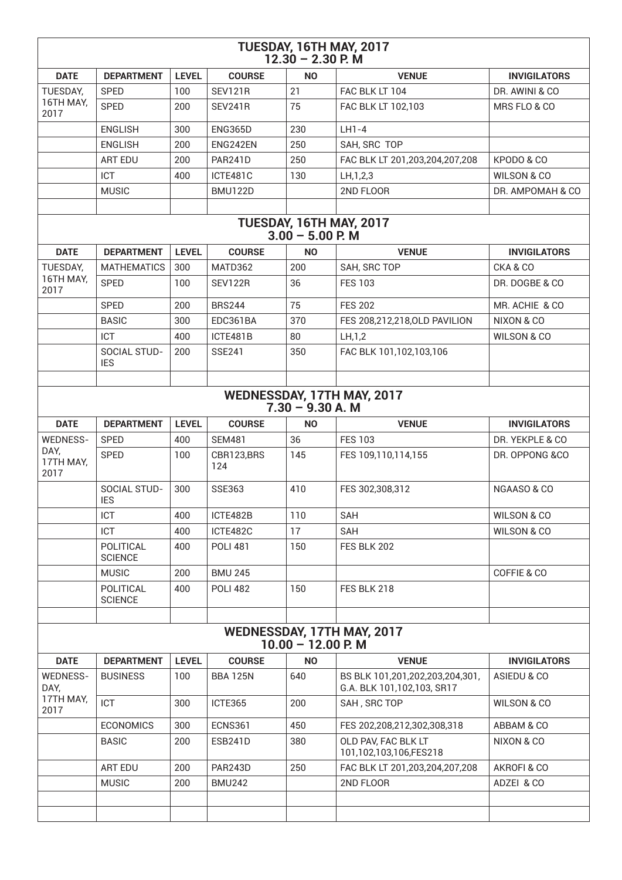| TUESDAY, 16TH MAY, 2017<br>$12.30 - 2.30$ P. M     |                                   |              |                   |                    |                                                               |                        |  |  |
|----------------------------------------------------|-----------------------------------|--------------|-------------------|--------------------|---------------------------------------------------------------|------------------------|--|--|
| <b>DATE</b>                                        | <b>DEPARTMENT</b>                 | <b>LEVEL</b> | <b>COURSE</b>     | <b>NO</b>          | <b>VENUE</b>                                                  | <b>INVIGILATORS</b>    |  |  |
| TUESDAY,                                           | <b>SPED</b>                       | 100          | <b>SEV121R</b>    | 21                 | FAC BLK LT 104                                                | DR. AWINI & CO         |  |  |
| 16TH MAY,<br>2017                                  | <b>SPED</b>                       | 200          | <b>SEV241R</b>    | 75                 | FAC BLK LT 102,103                                            | MRS FLO & CO           |  |  |
|                                                    | <b>ENGLISH</b>                    | 300          | <b>ENG365D</b>    | 230                | $LH1-4$                                                       |                        |  |  |
|                                                    | <b>ENGLISH</b>                    | 200          | ENG242EN          | 250                | SAH, SRC TOP                                                  |                        |  |  |
|                                                    | <b>ART EDU</b>                    | 200          | <b>PAR241D</b>    | 250                | FAC BLK LT 201,203,204,207,208                                | KPODO & CO             |  |  |
|                                                    | ICT                               | 400          | ICTE481C          | 130                | LH, 1, 2, 3                                                   | <b>WILSON &amp; CO</b> |  |  |
|                                                    | <b>MUSIC</b>                      |              | <b>BMU122D</b>    |                    | 2ND FLOOR                                                     | DR. AMPOMAH & CO       |  |  |
|                                                    |                                   |              |                   |                    |                                                               |                        |  |  |
|                                                    |                                   |              |                   | $3.00 - 5.00$ P. M | TUESDAY, 16TH MAY, 2017                                       |                        |  |  |
| <b>DATE</b>                                        | <b>DEPARTMENT</b>                 | <b>LEVEL</b> | <b>COURSE</b>     | <b>NO</b>          | <b>VENUE</b>                                                  | <b>INVIGILATORS</b>    |  |  |
| TUESDAY,                                           | <b>MATHEMATICS</b>                | 300          | MATD362           | 200                | SAH, SRC TOP                                                  | CKA & CO               |  |  |
| 16TH MAY,<br>2017                                  | <b>SPED</b>                       | 100          | SEV122R           | 36                 | <b>FES 103</b>                                                | DR. DOGBE & CO         |  |  |
|                                                    | <b>SPED</b>                       | 200          | <b>BRS244</b>     | 75                 | <b>FES 202</b>                                                | MR. ACHIE & CO         |  |  |
|                                                    | <b>BASIC</b>                      | 300          | EDC361BA          | 370                | FES 208,212,218,0LD PAVILION                                  | NIXON & CO             |  |  |
|                                                    | ICT                               | 400          | ICTE481B          | 80                 | LH, 1, 2                                                      | <b>WILSON &amp; CO</b> |  |  |
|                                                    | <b>SOCIAL STUD-</b><br><b>IES</b> | 200          | <b>SSE241</b>     | 350                | FAC BLK 101,102,103,106                                       |                        |  |  |
|                                                    |                                   |              |                   |                    |                                                               |                        |  |  |
| WEDNESSDAY, 17TH MAY, 2017<br>$7.30 - 9.30 A. M$   |                                   |              |                   |                    |                                                               |                        |  |  |
| <b>DATE</b>                                        | <b>DEPARTMENT</b>                 | <b>LEVEL</b> | <b>COURSE</b>     | <b>NO</b>          | <b>VENUE</b>                                                  | <b>INVIGILATORS</b>    |  |  |
| <b>WEDNESS-</b>                                    | <b>SPED</b>                       | 400          | <b>SEM481</b>     | 36                 | <b>FES 103</b>                                                | DR. YEKPLE & CO        |  |  |
| DAY,<br>17TH MAY,<br>2017                          | <b>SPED</b>                       | 100          | CBR123,BRS<br>124 | 145                | FES 109,110,114,155                                           | DR. OPPONG &CO         |  |  |
|                                                    | SOCIAL STUD-<br><b>IES</b>        | 300          | <b>SSE363</b>     | 410                | FES 302,308,312                                               | NGAASO & CO            |  |  |
|                                                    | <b>ICT</b>                        | 400          | ICTE482B          | 110                | <b>SAH</b>                                                    | <b>WILSON &amp; CO</b> |  |  |
|                                                    | ICT                               | 400          | ICTE482C          | 17                 | <b>SAH</b>                                                    | WILSON & CO            |  |  |
|                                                    | POLITICAL<br><b>SCIENCE</b>       | 400          | <b>POLI 481</b>   | 150                | FES BLK 202                                                   |                        |  |  |
|                                                    | <b>MUSIC</b>                      | 200          | <b>BMU 245</b>    |                    |                                                               | COFFIE & CO            |  |  |
|                                                    | POLITICAL<br><b>SCIENCE</b>       | 400          | <b>POLI 482</b>   | 150                | FES BLK 218                                                   |                        |  |  |
| WEDNESSDAY, 17TH MAY, 2017<br>$10.00 - 12.00$ P. M |                                   |              |                   |                    |                                                               |                        |  |  |
| <b>DATE</b>                                        | <b>DEPARTMENT</b>                 | <b>LEVEL</b> | <b>COURSE</b>     | <b>NO</b>          | <b>VENUE</b>                                                  | <b>INVIGILATORS</b>    |  |  |
| WEDNESS-<br>DAY,                                   | <b>BUSINESS</b>                   | 100          | <b>BBA 125N</b>   | 640                | BS BLK 101,201,202,203,204,301,<br>G.A. BLK 101,102,103, SR17 | ASIEDU & CO            |  |  |
| 17TH MAY,<br>2017                                  | ICT                               | 300          | ICTE365           | 200                | SAH, SRC TOP                                                  | WILSON & CO            |  |  |
|                                                    | <b>ECONOMICS</b>                  | 300          | <b>ECNS361</b>    | 450                | FES 202,208,212,302,308,318                                   | ABBAM & CO             |  |  |
|                                                    | <b>BASIC</b>                      | 200          | <b>ESB241D</b>    | 380                | OLD PAV, FAC BLK LT<br>101,102,103,106,FES218                 | NIXON & CO             |  |  |
|                                                    | ART EDU                           | 200          | <b>PAR243D</b>    | 250                | FAC BLK LT 201,203,204,207,208                                | AKROFI & CO            |  |  |
|                                                    | <b>MUSIC</b>                      | 200          | <b>BMU242</b>     |                    | 2ND FLOOR                                                     | ADZEI & CO             |  |  |
|                                                    |                                   |              |                   |                    |                                                               |                        |  |  |
|                                                    |                                   |              |                   |                    |                                                               |                        |  |  |